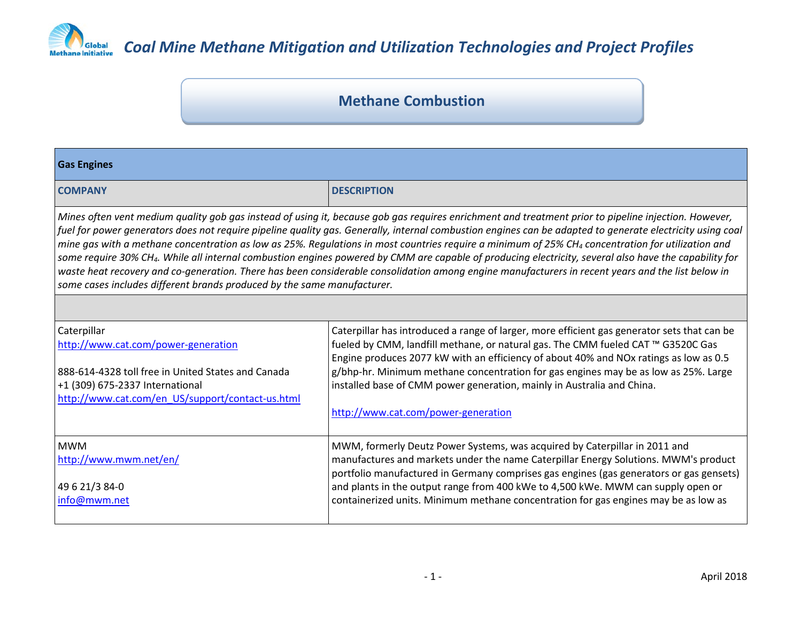

### **Methane Combustion**

| <b>Gas Engines</b>                                                                                                                                                                                                                                                                                                                                                                                                                                                                                                                                                                                                                                                                                                                                                                                                                                                                       |                                                                                                                                                                                                                                                                                                                                                                                                                                                                                  |  |
|------------------------------------------------------------------------------------------------------------------------------------------------------------------------------------------------------------------------------------------------------------------------------------------------------------------------------------------------------------------------------------------------------------------------------------------------------------------------------------------------------------------------------------------------------------------------------------------------------------------------------------------------------------------------------------------------------------------------------------------------------------------------------------------------------------------------------------------------------------------------------------------|----------------------------------------------------------------------------------------------------------------------------------------------------------------------------------------------------------------------------------------------------------------------------------------------------------------------------------------------------------------------------------------------------------------------------------------------------------------------------------|--|
| <b>COMPANY</b>                                                                                                                                                                                                                                                                                                                                                                                                                                                                                                                                                                                                                                                                                                                                                                                                                                                                           | <b>DESCRIPTION</b>                                                                                                                                                                                                                                                                                                                                                                                                                                                               |  |
| Mines often vent medium quality gob gas instead of using it, because gob gas requires enrichment and treatment prior to pipeline injection. However,<br>fuel for power generators does not require pipeline quality gas. Generally, internal combustion engines can be adapted to generate electricity using coal<br>mine gas with a methane concentration as low as 25%. Regulations in most countries require a minimum of 25% CH <sub>4</sub> concentration for utilization and<br>some require 30% CH <sub>4</sub> . While all internal combustion engines powered by CMM are capable of producing electricity, several also have the capability for<br>waste heat recovery and co-generation. There has been considerable consolidation among engine manufacturers in recent years and the list below in<br>some cases includes different brands produced by the same manufacturer. |                                                                                                                                                                                                                                                                                                                                                                                                                                                                                  |  |
|                                                                                                                                                                                                                                                                                                                                                                                                                                                                                                                                                                                                                                                                                                                                                                                                                                                                                          |                                                                                                                                                                                                                                                                                                                                                                                                                                                                                  |  |
| Caterpillar<br>http://www.cat.com/power-generation<br>888-614-4328 toll free in United States and Canada<br>+1 (309) 675-2337 International<br>http://www.cat.com/en US/support/contact-us.html                                                                                                                                                                                                                                                                                                                                                                                                                                                                                                                                                                                                                                                                                          | Caterpillar has introduced a range of larger, more efficient gas generator sets that can be<br>fueled by CMM, landfill methane, or natural gas. The CMM fueled CAT ™ G3520C Gas<br>Engine produces 2077 kW with an efficiency of about 40% and NOx ratings as low as 0.5<br>g/bhp-hr. Minimum methane concentration for gas engines may be as low as 25%. Large<br>installed base of CMM power generation, mainly in Australia and China.<br>http://www.cat.com/power-generation |  |
| <b>MWM</b><br>http://www.mwm.net/en/<br>49 6 21/3 84-0<br>info@mwm.net                                                                                                                                                                                                                                                                                                                                                                                                                                                                                                                                                                                                                                                                                                                                                                                                                   | MWM, formerly Deutz Power Systems, was acquired by Caterpillar in 2011 and<br>manufactures and markets under the name Caterpillar Energy Solutions. MWM's product<br>portfolio manufactured in Germany comprises gas engines (gas generators or gas gensets)<br>and plants in the output range from 400 kWe to 4,500 kWe. MWM can supply open or<br>containerized units. Minimum methane concentration for gas engines may be as low as                                          |  |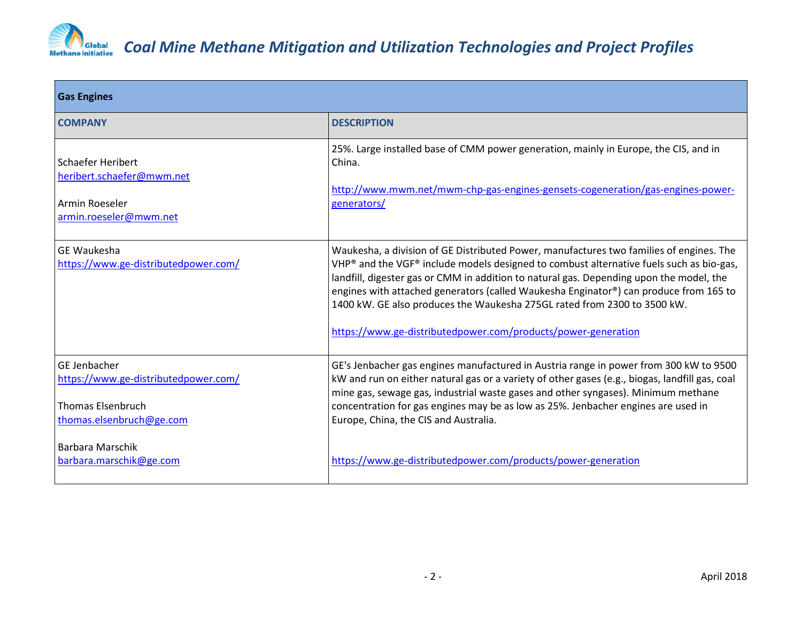

| <b>Gas Engines</b>                                                                                           |                                                                                                                                                                                                                                                                                                                                                                                                                                                                                                                     |
|--------------------------------------------------------------------------------------------------------------|---------------------------------------------------------------------------------------------------------------------------------------------------------------------------------------------------------------------------------------------------------------------------------------------------------------------------------------------------------------------------------------------------------------------------------------------------------------------------------------------------------------------|
| <b>COMPANY</b>                                                                                               | <b>DESCRIPTION</b>                                                                                                                                                                                                                                                                                                                                                                                                                                                                                                  |
| Schaefer Heribert<br>heribert.schaefer@mwm.net<br>Armin Roeseler<br>armin.roeseler@mwm.net                   | 25%. Large installed base of CMM power generation, mainly in Europe, the CIS, and in<br>China.<br>http://www.mwm.net/mwm-chp-gas-engines-gensets-cogeneration/gas-engines-power-<br>generators/                                                                                                                                                                                                                                                                                                                     |
| <b>GE Waukesha</b><br>https://www.ge-distributedpower.com/                                                   | Waukesha, a division of GE Distributed Power, manufactures two families of engines. The<br>VHP® and the VGF® include models designed to combust alternative fuels such as bio-gas,<br>landfill, digester gas or CMM in addition to natural gas. Depending upon the model, the<br>engines with attached generators (called Waukesha Enginator®) can produce from 165 to<br>1400 kW. GE also produces the Waukesha 275GL rated from 2300 to 3500 kW.<br>https://www.ge-distributedpower.com/products/power-generation |
| GE Jenbacher<br>https://www.ge-distributedpower.com/<br><b>Thomas Elsenbruch</b><br>thomas.elsenbruch@ge.com | GE's Jenbacher gas engines manufactured in Austria range in power from 300 kW to 9500<br>kW and run on either natural gas or a variety of other gases (e.g., biogas, landfill gas, coal<br>mine gas, sewage gas, industrial waste gases and other syngases). Minimum methane<br>concentration for gas engines may be as low as 25%. Jenbacher engines are used in<br>Europe, China, the CIS and Australia.                                                                                                          |
| <b>Barbara Marschik</b><br>barbara.marschik@ge.com                                                           | https://www.ge-distributedpower.com/products/power-generation                                                                                                                                                                                                                                                                                                                                                                                                                                                       |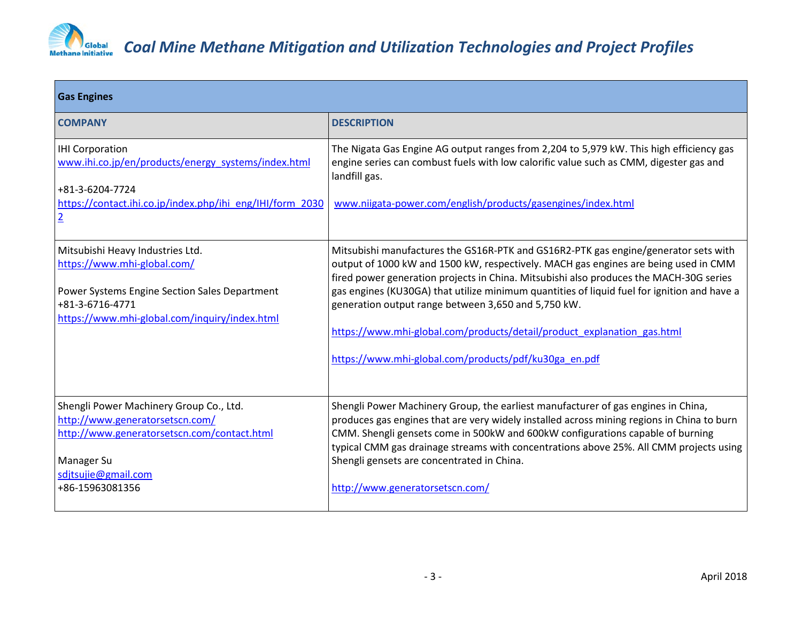

| <b>Gas Engines</b>                                                                                                |                                                                                                                                                                                                                                                                      |
|-------------------------------------------------------------------------------------------------------------------|----------------------------------------------------------------------------------------------------------------------------------------------------------------------------------------------------------------------------------------------------------------------|
| <b>COMPANY</b>                                                                                                    | <b>DESCRIPTION</b>                                                                                                                                                                                                                                                   |
| <b>IHI Corporation</b><br>www.ihi.co.jp/en/products/energy_systems/index.html                                     | The Nigata Gas Engine AG output ranges from 2,204 to 5,979 kW. This high efficiency gas<br>engine series can combust fuels with low calorific value such as CMM, digester gas and<br>landfill gas.                                                                   |
| +81-3-6204-7724<br>https://contact.ihi.co.jp/index.php/ihi eng/IHI/form 2030<br>$\overline{2}$                    | www.niigata-power.com/english/products/gasengines/index.html                                                                                                                                                                                                         |
| Mitsubishi Heavy Industries Ltd.<br>https://www.mhi-global.com/                                                   | Mitsubishi manufactures the GS16R-PTK and GS16R2-PTK gas engine/generator sets with<br>output of 1000 kW and 1500 kW, respectively. MACH gas engines are being used in CMM<br>fired power generation projects in China. Mitsubishi also produces the MACH-30G series |
| Power Systems Engine Section Sales Department<br>+81-3-6716-4771<br>https://www.mhi-global.com/inquiry/index.html | gas engines (KU30GA) that utilize minimum quantities of liquid fuel for ignition and have a<br>generation output range between 3,650 and 5,750 kW.                                                                                                                   |
|                                                                                                                   | https://www.mhi-global.com/products/detail/product explanation gas.html                                                                                                                                                                                              |
|                                                                                                                   | https://www.mhi-global.com/products/pdf/ku30ga_en.pdf                                                                                                                                                                                                                |
| Shengli Power Machinery Group Co., Ltd.<br>http://www.generatorsetscn.com/                                        | Shengli Power Machinery Group, the earliest manufacturer of gas engines in China,<br>produces gas engines that are very widely installed across mining regions in China to burn                                                                                      |
| http://www.generatorsetscn.com/contact.html                                                                       | CMM. Shengli gensets come in 500kW and 600kW configurations capable of burning<br>typical CMM gas drainage streams with concentrations above 25%. All CMM projects using                                                                                             |
| Manager Su<br>sdjtsujie@gmail.com                                                                                 | Shengli gensets are concentrated in China.                                                                                                                                                                                                                           |
| +86-15963081356                                                                                                   | http://www.generatorsetscn.com/                                                                                                                                                                                                                                      |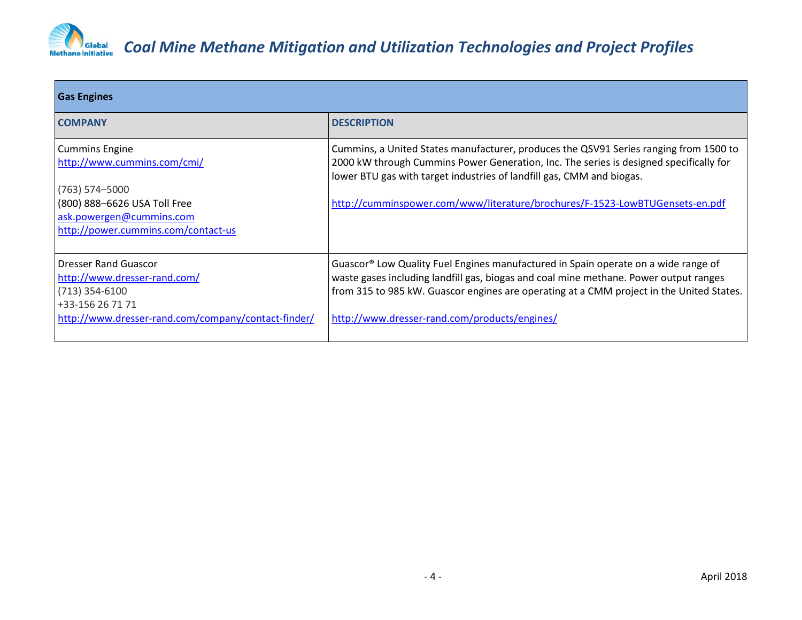

| <b>Gas Engines</b>                                                                                  |                                                                                                                                                                                                                                                                                                                                          |  |
|-----------------------------------------------------------------------------------------------------|------------------------------------------------------------------------------------------------------------------------------------------------------------------------------------------------------------------------------------------------------------------------------------------------------------------------------------------|--|
| <b>COMPANY</b>                                                                                      | <b>DESCRIPTION</b>                                                                                                                                                                                                                                                                                                                       |  |
| <b>Cummins Engine</b><br>http://www.cummins.com/cmi/<br>$(763)$ 574-5000                            | Cummins, a United States manufacturer, produces the QSV91 Series ranging from 1500 to<br>2000 kW through Cummins Power Generation, Inc. The series is designed specifically for<br>lower BTU gas with target industries of landfill gas, CMM and biogas.<br>http://cumminspower.com/www/literature/brochures/F-1523-LowBTUGensets-en.pdf |  |
| (800) 888-6626 USA Toll Free<br>ask.powergen@cummins.com<br>http://power.cummins.com/contact-us     |                                                                                                                                                                                                                                                                                                                                          |  |
| <b>Dresser Rand Guascor</b><br>http://www.dresser-rand.com/<br>$(713)$ 354-6100<br>+33-156 26 71 71 | Guascor <sup>®</sup> Low Quality Fuel Engines manufactured in Spain operate on a wide range of<br>waste gases including landfill gas, biogas and coal mine methane. Power output ranges<br>from 315 to 985 kW. Guascor engines are operating at a CMM project in the United States.                                                      |  |
| http://www.dresser-rand.com/company/contact-finder/                                                 | http://www.dresser-rand.com/products/engines/                                                                                                                                                                                                                                                                                            |  |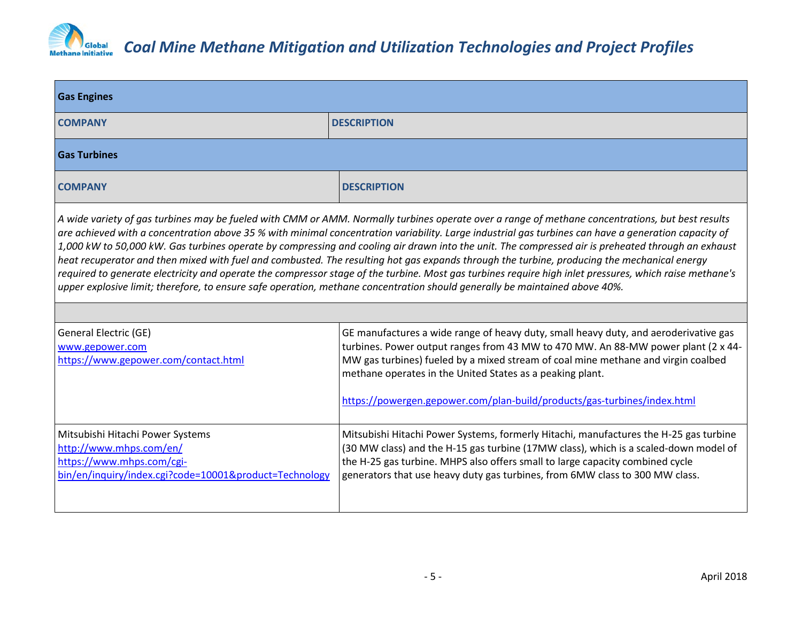

| <b>Gas Engines</b>                                                                                                                                                                                                                                                                                                                                                                                                                                                                                                                                                                                                                                                                                                                                                                                                                                                                                      |                                                                                                                                                                                                                                                                                                                                                |  |
|---------------------------------------------------------------------------------------------------------------------------------------------------------------------------------------------------------------------------------------------------------------------------------------------------------------------------------------------------------------------------------------------------------------------------------------------------------------------------------------------------------------------------------------------------------------------------------------------------------------------------------------------------------------------------------------------------------------------------------------------------------------------------------------------------------------------------------------------------------------------------------------------------------|------------------------------------------------------------------------------------------------------------------------------------------------------------------------------------------------------------------------------------------------------------------------------------------------------------------------------------------------|--|
| <b>COMPANY</b>                                                                                                                                                                                                                                                                                                                                                                                                                                                                                                                                                                                                                                                                                                                                                                                                                                                                                          | <b>DESCRIPTION</b>                                                                                                                                                                                                                                                                                                                             |  |
| <b>Gas Turbines</b>                                                                                                                                                                                                                                                                                                                                                                                                                                                                                                                                                                                                                                                                                                                                                                                                                                                                                     |                                                                                                                                                                                                                                                                                                                                                |  |
| <b>COMPANY</b>                                                                                                                                                                                                                                                                                                                                                                                                                                                                                                                                                                                                                                                                                                                                                                                                                                                                                          | <b>DESCRIPTION</b>                                                                                                                                                                                                                                                                                                                             |  |
| A wide variety of gas turbines may be fueled with CMM or AMM. Normally turbines operate over a range of methane concentrations, but best results<br>are achieved with a concentration above 35 % with minimal concentration variability. Large industrial gas turbines can have a generation capacity of<br>1,000 kW to 50,000 kW. Gas turbines operate by compressing and cooling air drawn into the unit. The compressed air is preheated through an exhaust<br>heat recuperator and then mixed with fuel and combusted. The resulting hot gas expands through the turbine, producing the mechanical energy<br>required to generate electricity and operate the compressor stage of the turbine. Most gas turbines require high inlet pressures, which raise methane's<br>upper explosive limit; therefore, to ensure safe operation, methane concentration should generally be maintained above 40%. |                                                                                                                                                                                                                                                                                                                                                |  |
|                                                                                                                                                                                                                                                                                                                                                                                                                                                                                                                                                                                                                                                                                                                                                                                                                                                                                                         |                                                                                                                                                                                                                                                                                                                                                |  |
| General Electric (GE)                                                                                                                                                                                                                                                                                                                                                                                                                                                                                                                                                                                                                                                                                                                                                                                                                                                                                   | GE manufactures a wide range of heavy duty, small heavy duty, and aeroderivative gas                                                                                                                                                                                                                                                           |  |
| www.gepower.com<br>https://www.gepower.com/contact.html                                                                                                                                                                                                                                                                                                                                                                                                                                                                                                                                                                                                                                                                                                                                                                                                                                                 | turbines. Power output ranges from 43 MW to 470 MW. An 88-MW power plant (2 x 44-<br>MW gas turbines) fueled by a mixed stream of coal mine methane and virgin coalbed<br>methane operates in the United States as a peaking plant.                                                                                                            |  |
|                                                                                                                                                                                                                                                                                                                                                                                                                                                                                                                                                                                                                                                                                                                                                                                                                                                                                                         | https://powergen.gepower.com/plan-build/products/gas-turbines/index.html                                                                                                                                                                                                                                                                       |  |
| Mitsubishi Hitachi Power Systems<br>http://www.mhps.com/en/<br>https://www.mhps.com/cgi-<br>bin/en/inquiry/index.cgi?code=10001&product=Technology                                                                                                                                                                                                                                                                                                                                                                                                                                                                                                                                                                                                                                                                                                                                                      | Mitsubishi Hitachi Power Systems, formerly Hitachi, manufactures the H-25 gas turbine<br>(30 MW class) and the H-15 gas turbine (17MW class), which is a scaled-down model of<br>the H-25 gas turbine. MHPS also offers small to large capacity combined cycle<br>generators that use heavy duty gas turbines, from 6MW class to 300 MW class. |  |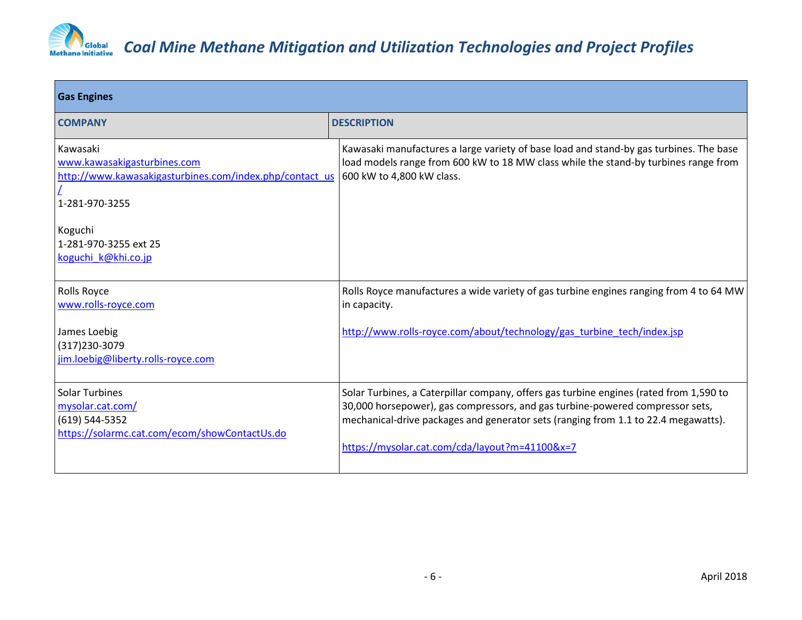

| <b>Gas Engines</b>                                                                                                   |                                                                                                                                                                                                                                                                                                                 |  |
|----------------------------------------------------------------------------------------------------------------------|-----------------------------------------------------------------------------------------------------------------------------------------------------------------------------------------------------------------------------------------------------------------------------------------------------------------|--|
| <b>COMPANY</b>                                                                                                       | <b>DESCRIPTION</b>                                                                                                                                                                                                                                                                                              |  |
| Kawasaki<br>www.kawasakigasturbines.com<br>http://www.kawasakigasturbines.com/index.php/contact_us<br>1-281-970-3255 | Kawasaki manufactures a large variety of base load and stand-by gas turbines. The base<br>load models range from 600 kW to 18 MW class while the stand-by turbines range from<br>600 kW to 4,800 kW class.                                                                                                      |  |
| Koguchi<br>1-281-970-3255 ext 25<br>koguchi k@khi.co.jp                                                              |                                                                                                                                                                                                                                                                                                                 |  |
| Rolls Royce<br>www.rolls-royce.com                                                                                   | Rolls Royce manufactures a wide variety of gas turbine engines ranging from 4 to 64 MW<br>in capacity.                                                                                                                                                                                                          |  |
| James Loebig<br>(317) 230-3079<br>jim.loebig@liberty.rolls-royce.com                                                 | http://www.rolls-royce.com/about/technology/gas_turbine_tech/index.jsp                                                                                                                                                                                                                                          |  |
| <b>Solar Turbines</b><br>mysolar.cat.com/<br>(619) 544-5352<br>https://solarmc.cat.com/ecom/showContactUs.do         | Solar Turbines, a Caterpillar company, offers gas turbine engines (rated from 1,590 to<br>30,000 horsepower), gas compressors, and gas turbine-powered compressor sets,<br>mechanical-drive packages and generator sets (ranging from 1.1 to 22.4 megawatts).<br>https://mysolar.cat.com/cda/layout?m=41100&x=7 |  |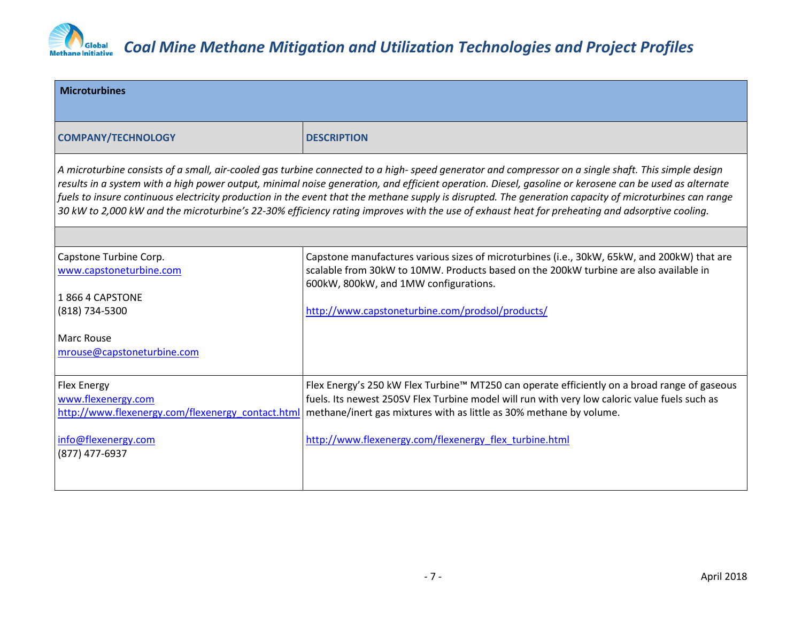

| <b>Microturbines</b>                                                                                                                                                                                                                                                                                                                                                                                                                                                                                                                                                                                                        |                                                                                                                                                                                                                               |  |
|-----------------------------------------------------------------------------------------------------------------------------------------------------------------------------------------------------------------------------------------------------------------------------------------------------------------------------------------------------------------------------------------------------------------------------------------------------------------------------------------------------------------------------------------------------------------------------------------------------------------------------|-------------------------------------------------------------------------------------------------------------------------------------------------------------------------------------------------------------------------------|--|
| <b>COMPANY/TECHNOLOGY</b>                                                                                                                                                                                                                                                                                                                                                                                                                                                                                                                                                                                                   | <b>DESCRIPTION</b>                                                                                                                                                                                                            |  |
| A microturbine consists of a small, air-cooled gas turbine connected to a high- speed generator and compressor on a single shaft. This simple design<br>results in a system with a high power output, minimal noise generation, and efficient operation. Diesel, gasoline or kerosene can be used as alternate<br>fuels to insure continuous electricity production in the event that the methane supply is disrupted. The generation capacity of microturbines can range<br>30 kW to 2,000 kW and the microturbine's 22-30% efficiency rating improves with the use of exhaust heat for preheating and adsorptive cooling. |                                                                                                                                                                                                                               |  |
|                                                                                                                                                                                                                                                                                                                                                                                                                                                                                                                                                                                                                             |                                                                                                                                                                                                                               |  |
| Capstone Turbine Corp.<br>www.capstoneturbine.com                                                                                                                                                                                                                                                                                                                                                                                                                                                                                                                                                                           | Capstone manufactures various sizes of microturbines (i.e., 30kW, 65kW, and 200kW) that are<br>scalable from 30kW to 10MW. Products based on the 200kW turbine are also available in<br>600kW, 800kW, and 1MW configurations. |  |
| 18664 CAPSTONE                                                                                                                                                                                                                                                                                                                                                                                                                                                                                                                                                                                                              |                                                                                                                                                                                                                               |  |
| (818) 734-5300                                                                                                                                                                                                                                                                                                                                                                                                                                                                                                                                                                                                              | http://www.capstoneturbine.com/prodsol/products/                                                                                                                                                                              |  |
| Marc Rouse                                                                                                                                                                                                                                                                                                                                                                                                                                                                                                                                                                                                                  |                                                                                                                                                                                                                               |  |
| mrouse@capstoneturbine.com                                                                                                                                                                                                                                                                                                                                                                                                                                                                                                                                                                                                  |                                                                                                                                                                                                                               |  |
| <b>Flex Energy</b>                                                                                                                                                                                                                                                                                                                                                                                                                                                                                                                                                                                                          | Flex Energy's 250 kW Flex Turbine™ MT250 can operate efficiently on a broad range of gaseous                                                                                                                                  |  |
| www.flexenergy.com                                                                                                                                                                                                                                                                                                                                                                                                                                                                                                                                                                                                          | fuels. Its newest 250SV Flex Turbine model will run with very low caloric value fuels such as                                                                                                                                 |  |
| http://www.flexenergy.com/flexenergy contact.htm                                                                                                                                                                                                                                                                                                                                                                                                                                                                                                                                                                            | methane/inert gas mixtures with as little as 30% methane by volume.                                                                                                                                                           |  |
| info@flexenergy.com                                                                                                                                                                                                                                                                                                                                                                                                                                                                                                                                                                                                         | http://www.flexenergy.com/flexenergy flex turbine.html                                                                                                                                                                        |  |
| (877) 477-6937                                                                                                                                                                                                                                                                                                                                                                                                                                                                                                                                                                                                              |                                                                                                                                                                                                                               |  |
|                                                                                                                                                                                                                                                                                                                                                                                                                                                                                                                                                                                                                             |                                                                                                                                                                                                                               |  |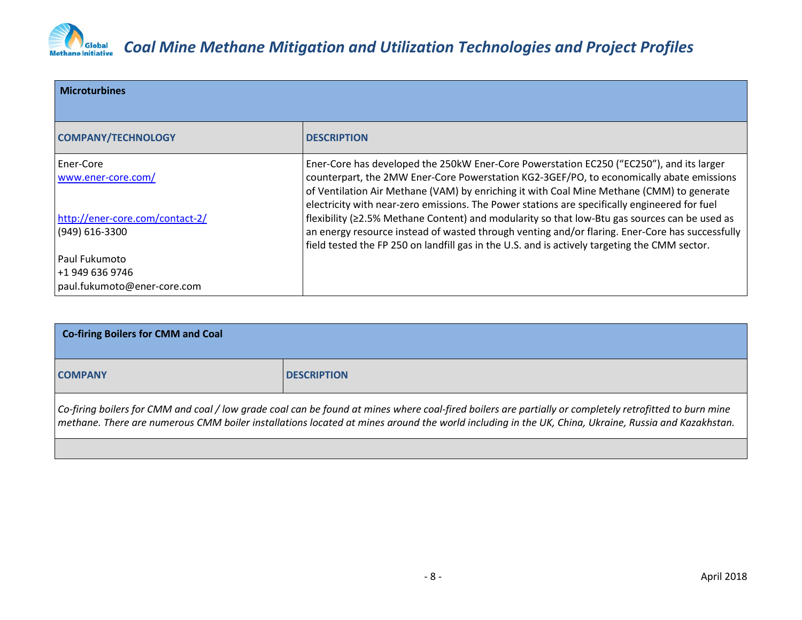

| <b>Microturbines</b>                                               |                                                                                                                                                                                                                                                                                                                                                                                    |
|--------------------------------------------------------------------|------------------------------------------------------------------------------------------------------------------------------------------------------------------------------------------------------------------------------------------------------------------------------------------------------------------------------------------------------------------------------------|
| <b>COMPANY/TECHNOLOGY</b>                                          | <b>DESCRIPTION</b>                                                                                                                                                                                                                                                                                                                                                                 |
| l Ener-Core<br>www.ener-core.com/                                  | Ener-Core has developed the 250kW Ener-Core Powerstation EC250 ("EC250"), and its larger<br>counterpart, the 2MW Ener-Core Powerstation KG2-3GEF/PO, to economically abate emissions<br>of Ventilation Air Methane (VAM) by enriching it with Coal Mine Methane (CMM) to generate<br>electricity with near-zero emissions. The Power stations are specifically engineered for fuel |
| http://ener-core.com/contact-2/<br>(949) 616-3300                  | flexibility ( $\geq$ 2.5% Methane Content) and modularity so that low-Btu gas sources can be used as<br>an energy resource instead of wasted through venting and/or flaring. Ener-Core has successfully<br>field tested the FP 250 on landfill gas in the U.S. and is actively targeting the CMM sector.                                                                           |
| l Paul Fukumoto<br> +1 949 636 9746<br>paul.fukumoto@ener-core.com |                                                                                                                                                                                                                                                                                                                                                                                    |

| <b>Co-firing Boilers for CMM and Coal</b>                                                                                                                                                                                                                                                                             |                    |
|-----------------------------------------------------------------------------------------------------------------------------------------------------------------------------------------------------------------------------------------------------------------------------------------------------------------------|--------------------|
| <b>COMPANY</b>                                                                                                                                                                                                                                                                                                        | <b>DESCRIPTION</b> |
| $ $ Co-firing boilers for CMM and coal / low grade coal can be found at mines where coal-fired boilers are partially or completely retrofitted to burn mine<br>$ $ methane. There are numerous CMM boiler installations located at mines around the world including in the UK, China, Ukraine, Russia and Kazakhstan. |                    |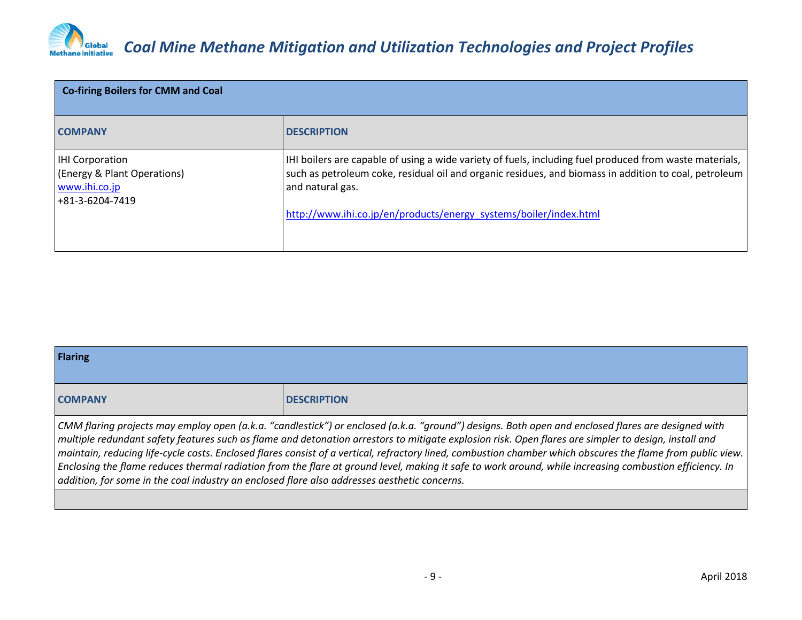

| <b>Co-firing Boilers for CMM and Coal</b>                                                 |                                                                                                                                                                                                                                                                                                           |
|-------------------------------------------------------------------------------------------|-----------------------------------------------------------------------------------------------------------------------------------------------------------------------------------------------------------------------------------------------------------------------------------------------------------|
| <b>COMPANY</b>                                                                            | <b>DESCRIPTION</b>                                                                                                                                                                                                                                                                                        |
| <b>IHI Corporation</b><br>(Energy & Plant Operations)<br>www.ihi.co.jp<br>+81-3-6204-7419 | IHI boilers are capable of using a wide variety of fuels, including fuel produced from waste materials,<br>such as petroleum coke, residual oil and organic residues, and biomass in addition to coal, petroleum<br>and natural gas.<br>http://www.ihi.co.jp/en/products/energy_systems/boiler/index.html |

| <b>Flaring</b>                                                                               |                                                                                                                                                                                                                                                                                                                                                                                                                                                                                                                                                                                                                                                  |
|----------------------------------------------------------------------------------------------|--------------------------------------------------------------------------------------------------------------------------------------------------------------------------------------------------------------------------------------------------------------------------------------------------------------------------------------------------------------------------------------------------------------------------------------------------------------------------------------------------------------------------------------------------------------------------------------------------------------------------------------------------|
| <b>COMPANY</b>                                                                               | <b>DESCRIPTION</b>                                                                                                                                                                                                                                                                                                                                                                                                                                                                                                                                                                                                                               |
| addition, for some in the coal industry an enclosed flare also addresses aesthetic concerns. | CMM flaring projects may employ open (a.k.a. "candlestick") or enclosed (a.k.a. "ground") designs. Both open and enclosed flares are designed with<br>$\vert$ multiple redundant safety features such as flame and detonation arrestors to mitigate explosion risk. Open flares are simpler to design, install and<br>maintain, reducing life-cycle costs. Enclosed flares consist of a vertical, refractory lined, combustion chamber which obscures the flame from public view.<br>$ $ Enclosing the flame reduces thermal radiation from the flare at ground level, making it safe to work around, while increasing combustion efficiency. In |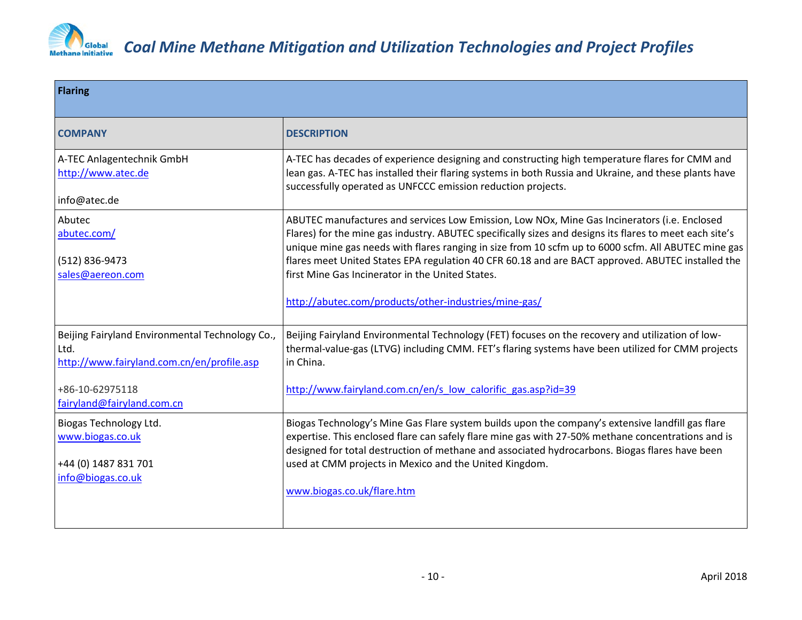

| <b>Flaring</b>                                                                                                                                         |                                                                                                                                                                                                                                                                                                                                                                                                                                                                                                                                  |
|--------------------------------------------------------------------------------------------------------------------------------------------------------|----------------------------------------------------------------------------------------------------------------------------------------------------------------------------------------------------------------------------------------------------------------------------------------------------------------------------------------------------------------------------------------------------------------------------------------------------------------------------------------------------------------------------------|
| <b>COMPANY</b>                                                                                                                                         | <b>DESCRIPTION</b>                                                                                                                                                                                                                                                                                                                                                                                                                                                                                                               |
| A-TEC Anlagentechnik GmbH<br>http://www.atec.de<br>info@atec.de                                                                                        | A-TEC has decades of experience designing and constructing high temperature flares for CMM and<br>lean gas. A-TEC has installed their flaring systems in both Russia and Ukraine, and these plants have<br>successfully operated as UNFCCC emission reduction projects.                                                                                                                                                                                                                                                          |
| Abutec<br>abutec.com/<br>(512) 836-9473<br>sales@aereon.com                                                                                            | ABUTEC manufactures and services Low Emission, Low NOx, Mine Gas Incinerators (i.e. Enclosed<br>Flares) for the mine gas industry. ABUTEC specifically sizes and designs its flares to meet each site's<br>unique mine gas needs with flares ranging in size from 10 scfm up to 6000 scfm. All ABUTEC mine gas<br>flares meet United States EPA regulation 40 CFR 60.18 and are BACT approved. ABUTEC installed the<br>first Mine Gas Incinerator in the United States.<br>http://abutec.com/products/other-industries/mine-gas/ |
| Beijing Fairyland Environmental Technology Co.,<br>Ltd.<br>http://www.fairyland.com.cn/en/profile.asp<br>+86-10-62975118<br>fairyland@fairyland.com.cn | Beijing Fairyland Environmental Technology (FET) focuses on the recovery and utilization of low-<br>thermal-value-gas (LTVG) including CMM. FET's flaring systems have been utilized for CMM projects<br>in China.<br>http://www.fairyland.com.cn/en/s low calorific gas.asp?id=39                                                                                                                                                                                                                                               |
| Biogas Technology Ltd.<br>www.biogas.co.uk<br>+44 (0) 1487 831 701<br>info@biogas.co.uk                                                                | Biogas Technology's Mine Gas Flare system builds upon the company's extensive landfill gas flare<br>expertise. This enclosed flare can safely flare mine gas with 27-50% methane concentrations and is<br>designed for total destruction of methane and associated hydrocarbons. Biogas flares have been<br>used at CMM projects in Mexico and the United Kingdom.<br>www.biogas.co.uk/flare.htm                                                                                                                                 |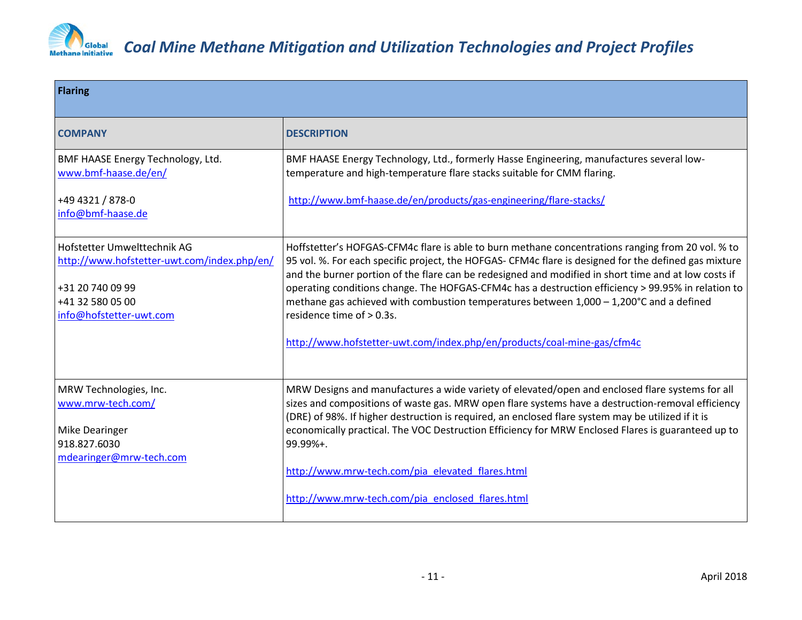

| <b>Flaring</b>                                                                                                                                |                                                                                                                                                                                                                                                                                                                                                                                                                                                                                                                                                                                                                             |
|-----------------------------------------------------------------------------------------------------------------------------------------------|-----------------------------------------------------------------------------------------------------------------------------------------------------------------------------------------------------------------------------------------------------------------------------------------------------------------------------------------------------------------------------------------------------------------------------------------------------------------------------------------------------------------------------------------------------------------------------------------------------------------------------|
| <b>COMPANY</b>                                                                                                                                | <b>DESCRIPTION</b>                                                                                                                                                                                                                                                                                                                                                                                                                                                                                                                                                                                                          |
| BMF HAASE Energy Technology, Ltd.<br>www.bmf-haase.de/en/                                                                                     | BMF HAASE Energy Technology, Ltd., formerly Hasse Engineering, manufactures several low-<br>temperature and high-temperature flare stacks suitable for CMM flaring.                                                                                                                                                                                                                                                                                                                                                                                                                                                         |
| +49 4321 / 878-0<br>info@bmf-haase.de                                                                                                         | http://www.bmf-haase.de/en/products/gas-engineering/flare-stacks/                                                                                                                                                                                                                                                                                                                                                                                                                                                                                                                                                           |
| Hofstetter Umwelttechnik AG<br>http://www.hofstetter-uwt.com/index.php/en/<br>+31 20 740 09 99<br>+41 32 580 05 00<br>info@hofstetter-uwt.com | Hoffstetter's HOFGAS-CFM4c flare is able to burn methane concentrations ranging from 20 vol. % to<br>95 vol. %. For each specific project, the HOFGAS- CFM4c flare is designed for the defined gas mixture<br>and the burner portion of the flare can be redesigned and modified in short time and at low costs if<br>operating conditions change. The HOFGAS-CFM4c has a destruction efficiency > 99.95% in relation to<br>methane gas achieved with combustion temperatures between 1,000 - 1,200°C and a defined<br>residence time of > 0.3s.<br>http://www.hofstetter-uwt.com/index.php/en/products/coal-mine-gas/cfm4c |
|                                                                                                                                               |                                                                                                                                                                                                                                                                                                                                                                                                                                                                                                                                                                                                                             |
| MRW Technologies, Inc.<br>www.mrw-tech.com/                                                                                                   | MRW Designs and manufactures a wide variety of elevated/open and enclosed flare systems for all<br>sizes and compositions of waste gas. MRW open flare systems have a destruction-removal efficiency<br>(DRE) of 98%. If higher destruction is required, an enclosed flare system may be utilized if it is                                                                                                                                                                                                                                                                                                                  |
| Mike Dearinger<br>918.827.6030                                                                                                                | economically practical. The VOC Destruction Efficiency for MRW Enclosed Flares is guaranteed up to<br>99.99%+.                                                                                                                                                                                                                                                                                                                                                                                                                                                                                                              |
| mdearinger@mrw-tech.com                                                                                                                       | http://www.mrw-tech.com/pia_elevated_flares.html                                                                                                                                                                                                                                                                                                                                                                                                                                                                                                                                                                            |
|                                                                                                                                               | http://www.mrw-tech.com/pia enclosed flares.html                                                                                                                                                                                                                                                                                                                                                                                                                                                                                                                                                                            |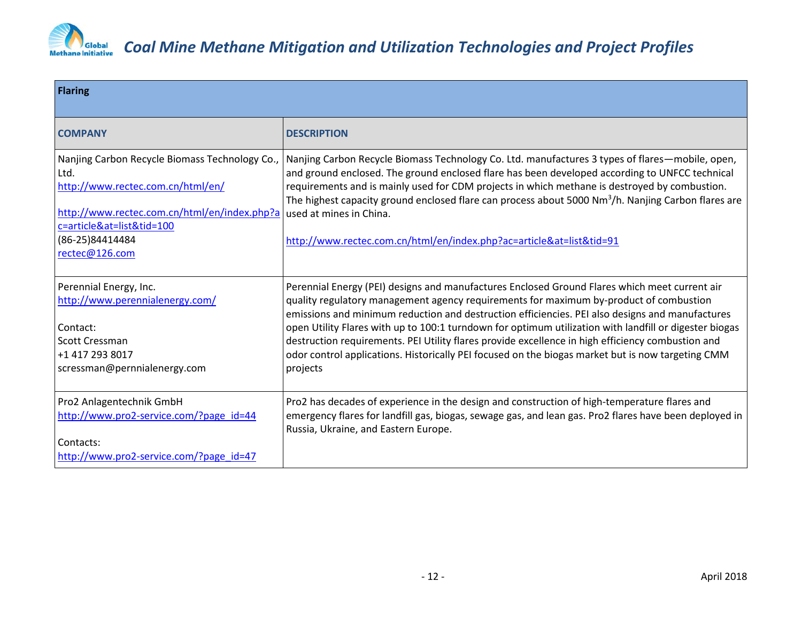

| <b>Flaring</b>                                                                                                                                                                                                |                                                                                                                                                                                                                                                                                                                                                                                                                                                                                                                                                                                                                            |  |
|---------------------------------------------------------------------------------------------------------------------------------------------------------------------------------------------------------------|----------------------------------------------------------------------------------------------------------------------------------------------------------------------------------------------------------------------------------------------------------------------------------------------------------------------------------------------------------------------------------------------------------------------------------------------------------------------------------------------------------------------------------------------------------------------------------------------------------------------------|--|
| <b>COMPANY</b>                                                                                                                                                                                                | <b>DESCRIPTION</b>                                                                                                                                                                                                                                                                                                                                                                                                                                                                                                                                                                                                         |  |
| Nanjing Carbon Recycle Biomass Technology Co.,<br>Ltd.<br>http://www.rectec.com.cn/html/en/<br>http://www.rectec.com.cn/html/en/index.php?a<br>c=article&at=list&tid=100<br>(86-25)84414484<br>rectec@126.com | Nanjing Carbon Recycle Biomass Technology Co. Ltd. manufactures 3 types of flares—mobile, open,<br>and ground enclosed. The ground enclosed flare has been developed according to UNFCC technical<br>requirements and is mainly used for CDM projects in which methane is destroyed by combustion.<br>The highest capacity ground enclosed flare can process about 5000 $Nm^3/h$ . Nanjing Carbon flares are<br>used at mines in China.<br>http://www.rectec.com.cn/html/en/index.php?ac=article&at=list&tid=91                                                                                                            |  |
| Perennial Energy, Inc.<br>http://www.perennialenergy.com/<br>Contact:<br>Scott Cressman<br>+1 417 293 8017<br>scressman@pernnialenergy.com                                                                    | Perennial Energy (PEI) designs and manufactures Enclosed Ground Flares which meet current air<br>quality regulatory management agency requirements for maximum by-product of combustion<br>emissions and minimum reduction and destruction efficiencies. PEI also designs and manufactures<br>open Utility Flares with up to 100:1 turndown for optimum utilization with landfill or digester biogas<br>destruction requirements. PEI Utility flares provide excellence in high efficiency combustion and<br>odor control applications. Historically PEI focused on the biogas market but is now targeting CMM<br>projects |  |
| Pro2 Anlagentechnik GmbH<br>http://www.pro2-service.com/?page_id=44<br>Contacts:<br>http://www.pro2-service.com/?page_id=47                                                                                   | Pro2 has decades of experience in the design and construction of high-temperature flares and<br>emergency flares for landfill gas, biogas, sewage gas, and lean gas. Pro2 flares have been deployed in<br>Russia, Ukraine, and Eastern Europe.                                                                                                                                                                                                                                                                                                                                                                             |  |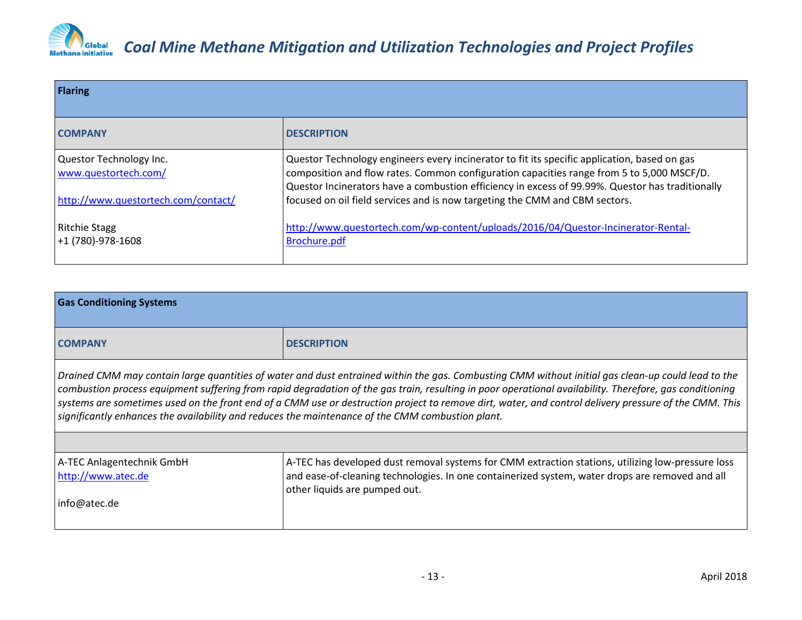

| <b>Flaring</b>                                  |                                                                                                                                                                                                                                                                                               |  |
|-------------------------------------------------|-----------------------------------------------------------------------------------------------------------------------------------------------------------------------------------------------------------------------------------------------------------------------------------------------|--|
| <b>COMPANY</b>                                  | <b>DESCRIPTION</b>                                                                                                                                                                                                                                                                            |  |
| Questor Technology Inc.<br>www.questortech.com/ | Questor Technology engineers every incinerator to fit its specific application, based on gas<br>composition and flow rates. Common configuration capacities range from 5 to 5,000 MSCF/D.<br>Questor Incinerators have a combustion efficiency in excess of 99.99%. Questor has traditionally |  |
| http://www.questortech.com/contact/             | focused on oil field services and is now targeting the CMM and CBM sectors.                                                                                                                                                                                                                   |  |
| <b>Ritchie Stagg</b><br>+1 (780)-978-1608       | http://www.questortech.com/wp-content/uploads/2016/04/Questor-Incinerator-Rental-<br>Brochure.pdf                                                                                                                                                                                             |  |

| <b>Gas Conditioning Systems</b>                                                                                                                                                                                                                                                                                                                                                                                                                                                                                                                                            |                                                                                                                                                                                                                                       |  |
|----------------------------------------------------------------------------------------------------------------------------------------------------------------------------------------------------------------------------------------------------------------------------------------------------------------------------------------------------------------------------------------------------------------------------------------------------------------------------------------------------------------------------------------------------------------------------|---------------------------------------------------------------------------------------------------------------------------------------------------------------------------------------------------------------------------------------|--|
| <b>COMPANY</b>                                                                                                                                                                                                                                                                                                                                                                                                                                                                                                                                                             | <b>DESCRIPTION</b>                                                                                                                                                                                                                    |  |
| Drained CMM may contain large quantities of water and dust entrained within the gas. Combusting CMM without initial gas clean-up could lead to the<br>combustion process equipment suffering from rapid degradation of the gas train, resulting in poor operational availability. Therefore, gas conditioning<br>systems are sometimes used on the front end of a CMM use or destruction project to remove dirt, water, and control delivery pressure of the CMM. This<br>significantly enhances the availability and reduces the maintenance of the CMM combustion plant. |                                                                                                                                                                                                                                       |  |
|                                                                                                                                                                                                                                                                                                                                                                                                                                                                                                                                                                            |                                                                                                                                                                                                                                       |  |
| A-TEC Anlagentechnik GmbH<br>http://www.atec.de                                                                                                                                                                                                                                                                                                                                                                                                                                                                                                                            | A-TEC has developed dust removal systems for CMM extraction stations, utilizing low-pressure loss<br>and ease-of-cleaning technologies. In one containerized system, water drops are removed and all<br>other liquids are pumped out. |  |
| info@atec.de                                                                                                                                                                                                                                                                                                                                                                                                                                                                                                                                                               |                                                                                                                                                                                                                                       |  |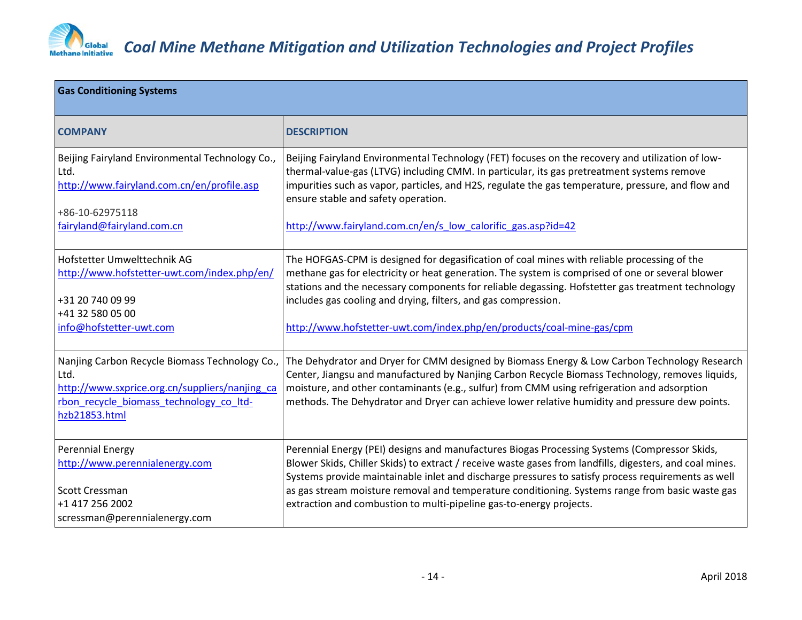

| <b>Gas Conditioning Systems</b>                                                                                                                                      |                                                                                                                                                                                                                                                                                                                                                                                                  |  |
|----------------------------------------------------------------------------------------------------------------------------------------------------------------------|--------------------------------------------------------------------------------------------------------------------------------------------------------------------------------------------------------------------------------------------------------------------------------------------------------------------------------------------------------------------------------------------------|--|
| <b>COMPANY</b>                                                                                                                                                       | <b>DESCRIPTION</b>                                                                                                                                                                                                                                                                                                                                                                               |  |
| Beijing Fairyland Environmental Technology Co.,<br>Ltd.<br>http://www.fairyland.com.cn/en/profile.asp                                                                | Beijing Fairyland Environmental Technology (FET) focuses on the recovery and utilization of low-<br>thermal-value-gas (LTVG) including CMM. In particular, its gas pretreatment systems remove<br>impurities such as vapor, particles, and H2S, regulate the gas temperature, pressure, and flow and<br>ensure stable and safety operation.                                                      |  |
| +86-10-62975118                                                                                                                                                      | http://www.fairyland.com.cn/en/s low calorific gas.asp?id=42                                                                                                                                                                                                                                                                                                                                     |  |
| fairyland@fairyland.com.cn                                                                                                                                           |                                                                                                                                                                                                                                                                                                                                                                                                  |  |
| Hofstetter Umwelttechnik AG<br>http://www.hofstetter-uwt.com/index.php/en/                                                                                           | The HOFGAS-CPM is designed for degasification of coal mines with reliable processing of the<br>methane gas for electricity or heat generation. The system is comprised of one or several blower<br>stations and the necessary components for reliable degassing. Hofstetter gas treatment technology                                                                                             |  |
| +31 20 740 09 99<br>+41 32 580 05 00                                                                                                                                 | includes gas cooling and drying, filters, and gas compression.                                                                                                                                                                                                                                                                                                                                   |  |
| info@hofstetter-uwt.com                                                                                                                                              | http://www.hofstetter-uwt.com/index.php/en/products/coal-mine-gas/cpm                                                                                                                                                                                                                                                                                                                            |  |
| Nanjing Carbon Recycle Biomass Technology Co.,<br>Ltd.<br>http://www.sxprice.org.cn/suppliers/nanjing ca<br>rbon recycle biomass technology co Itd-<br>hzb21853.html | The Dehydrator and Dryer for CMM designed by Biomass Energy & Low Carbon Technology Research<br>Center, Jiangsu and manufactured by Nanjing Carbon Recycle Biomass Technology, removes liquids,<br>moisture, and other contaminants (e.g., sulfur) from CMM using refrigeration and adsorption<br>methods. The Dehydrator and Dryer can achieve lower relative humidity and pressure dew points. |  |
| <b>Perennial Energy</b><br>http://www.perennialenergy.com                                                                                                            | Perennial Energy (PEI) designs and manufactures Biogas Processing Systems (Compressor Skids,<br>Blower Skids, Chiller Skids) to extract / receive waste gases from landfills, digesters, and coal mines.<br>Systems provide maintainable inlet and discharge pressures to satisfy process requirements as well                                                                                   |  |
| Scott Cressman                                                                                                                                                       | as gas stream moisture removal and temperature conditioning. Systems range from basic waste gas                                                                                                                                                                                                                                                                                                  |  |
| +1 417 256 2002<br>scressman@perennialenergy.com                                                                                                                     | extraction and combustion to multi-pipeline gas-to-energy projects.                                                                                                                                                                                                                                                                                                                              |  |
|                                                                                                                                                                      |                                                                                                                                                                                                                                                                                                                                                                                                  |  |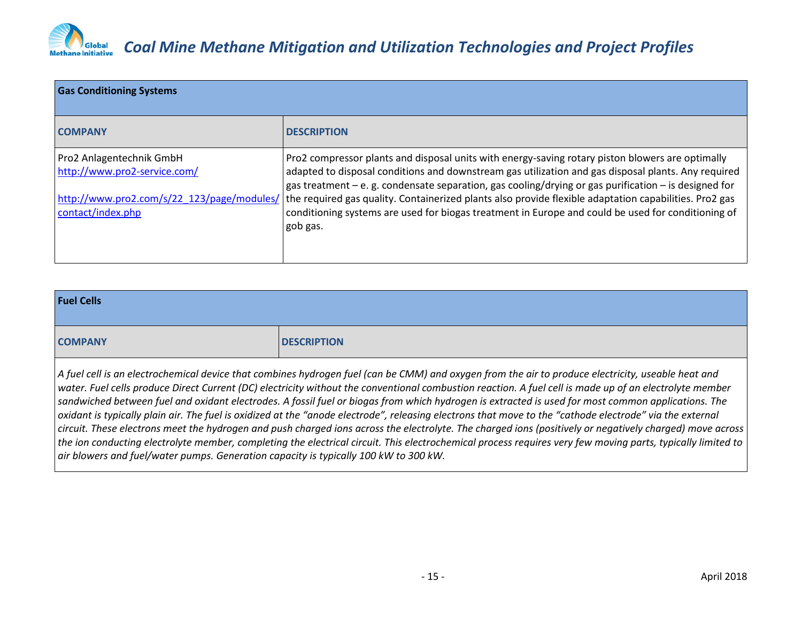

### *Coal Mine Methane Mitigation and Utilization Technologies and Project Profiles*

| <b>Gas Conditioning Systems</b>                                                                                             |                                                                                                                                                                                                                                                                                                                                                                                                                                                                                                                                                  |  |
|-----------------------------------------------------------------------------------------------------------------------------|--------------------------------------------------------------------------------------------------------------------------------------------------------------------------------------------------------------------------------------------------------------------------------------------------------------------------------------------------------------------------------------------------------------------------------------------------------------------------------------------------------------------------------------------------|--|
| <b>COMPANY</b>                                                                                                              | <b>DESCRIPTION</b>                                                                                                                                                                                                                                                                                                                                                                                                                                                                                                                               |  |
| Pro2 Anlagentechnik GmbH<br>http://www.pro2-service.com/<br>http://www.pro2.com/s/22 123/page/modules/<br>contact/index.php | Pro2 compressor plants and disposal units with energy-saving rotary piston blowers are optimally<br>adapted to disposal conditions and downstream gas utilization and gas disposal plants. Any required<br>gas treatment $-e$ . g. condensate separation, gas cooling/drying or gas purification $-$ is designed for<br>the required gas quality. Containerized plants also provide flexible adaptation capabilities. Pro2 gas<br>conditioning systems are used for biogas treatment in Europe and could be used for conditioning of<br>gob gas. |  |

| <b>Fuel Cells</b>                                                                                                                                                                                                             |                    |
|-------------------------------------------------------------------------------------------------------------------------------------------------------------------------------------------------------------------------------|--------------------|
| <b>COMPANY</b>                                                                                                                                                                                                                | <b>DESCRIPTION</b> |
| LA CALCHE CONTRACTE CHARGE EXPLORATION IN THE COLLECTION OF CHARGE CONTRACT CONTRACT CONTRACT CONTRACT CONTRACT CONTRACT CONTRACT CONTRACT CONTRACT CONTRACT CONTRACT CONTRACT CONTRACT CONTRACT CONTRACT CONTRACT CONTRACT C |                    |

*A fuel cell is an electrochemical device that combines hydrogen fuel (can be CMM) and oxygen from the air to produce electricity, useable heat and water. Fuel cells produce Direct Current (DC) electricity without the conventional combustion reaction. A fuel cell is made up of an electrolyte member sandwiched between fuel and oxidant electrodes. A fossil fuel or biogas from which hydrogen is extracted is used for most common applications. The oxidant is typically plain air. The fuel is oxidized at the "anode electrode", releasing electrons that move to the "cathode electrode" via the external circuit. These electrons meet the hydrogen and push charged ions across the electrolyte. The charged ions (positively or negatively charged) move across the ion conducting electrolyte member, completing the electrical circuit. This electrochemical process requires very few moving parts, typically limited to air blowers and fuel/water pumps. Generation capacity is typically 100 kW to 300 kW.*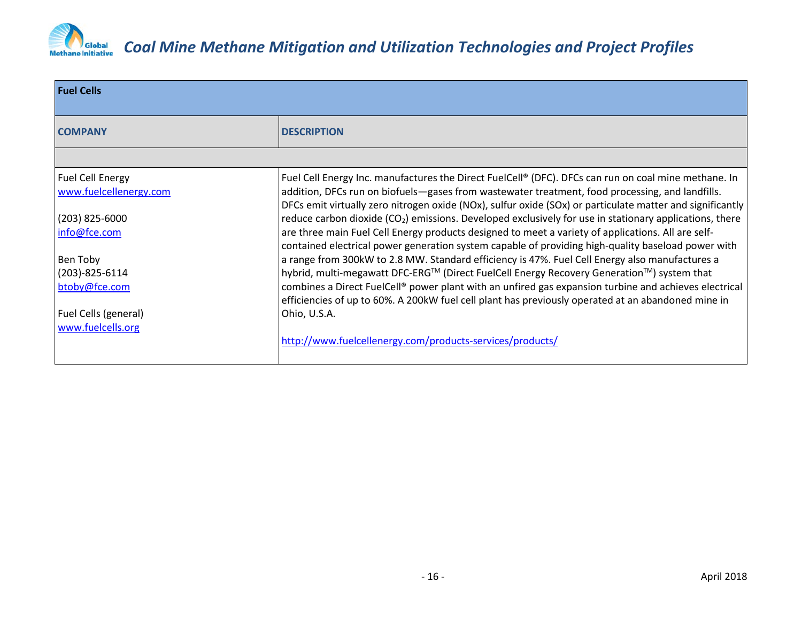

| <b>Fuel Cells</b>       |                                                                                                                                                                                                              |
|-------------------------|--------------------------------------------------------------------------------------------------------------------------------------------------------------------------------------------------------------|
| <b>COMPANY</b>          | <b>DESCRIPTION</b>                                                                                                                                                                                           |
|                         |                                                                                                                                                                                                              |
| <b>Fuel Cell Energy</b> | Fuel Cell Energy Inc. manufactures the Direct FuelCell® (DFC). DFCs can run on coal mine methane. In                                                                                                         |
| www.fuelcellenergy.com  | addition, DFCs run on biofuels—gases from wastewater treatment, food processing, and landfills.<br>DFCs emit virtually zero nitrogen oxide (NOx), sulfur oxide (SOx) or particulate matter and significantly |
| $(203)$ 825-6000        | reduce carbon dioxide $(CO_2)$ emissions. Developed exclusively for use in stationary applications, there                                                                                                    |
| info@fce.com            | are three main Fuel Cell Energy products designed to meet a variety of applications. All are self-<br>contained electrical power generation system capable of providing high-quality baseload power with     |
| Ben Toby                | a range from 300kW to 2.8 MW. Standard efficiency is 47%. Fuel Cell Energy also manufactures a                                                                                                               |
| $(203) - 825 - 6114$    | hybrid, multi-megawatt DFC-ERG™ (Direct FuelCell Energy Recovery Generation™) system that                                                                                                                    |
| btoby@fce.com           | combines a Direct FuelCell® power plant with an unfired gas expansion turbine and achieves electrical<br>efficiencies of up to 60%. A 200kW fuel cell plant has previously operated at an abandoned mine in  |
| Fuel Cells (general)    | Ohio, U.S.A.                                                                                                                                                                                                 |
| www.fuelcells.org       |                                                                                                                                                                                                              |
|                         | http://www.fuelcellenergy.com/products-services/products/                                                                                                                                                    |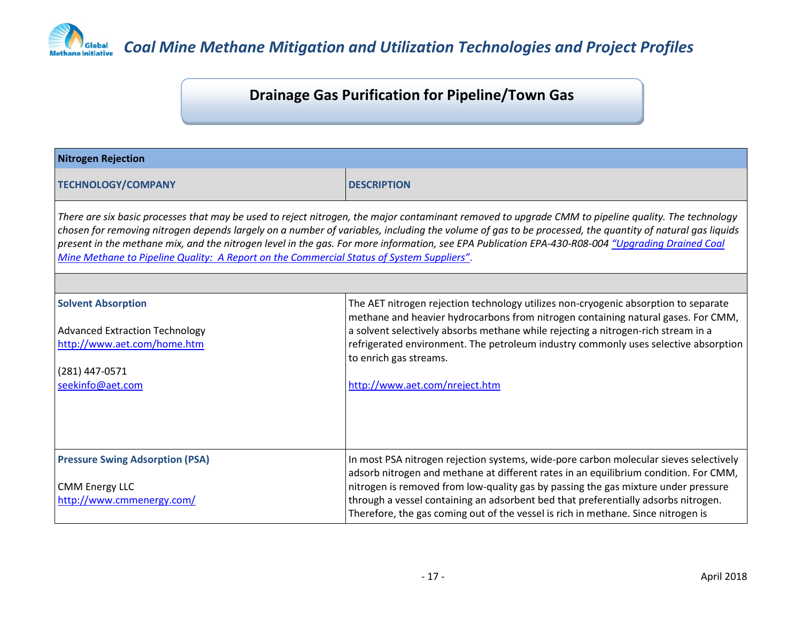

### **Drainage Gas Purification for Pipeline/Town Gas**

| <b>Nitrogen Rejection</b>                                                                                                                                                                                                                                                                                                                                                                                                                                                                                                                                       |                                                                                                                                                                                                                                                                                                                                                                                                                                                |
|-----------------------------------------------------------------------------------------------------------------------------------------------------------------------------------------------------------------------------------------------------------------------------------------------------------------------------------------------------------------------------------------------------------------------------------------------------------------------------------------------------------------------------------------------------------------|------------------------------------------------------------------------------------------------------------------------------------------------------------------------------------------------------------------------------------------------------------------------------------------------------------------------------------------------------------------------------------------------------------------------------------------------|
| <b>TECHNOLOGY/COMPANY</b>                                                                                                                                                                                                                                                                                                                                                                                                                                                                                                                                       | <b>DESCRIPTION</b>                                                                                                                                                                                                                                                                                                                                                                                                                             |
| There are six basic processes that may be used to reject nitrogen, the major contaminant removed to upgrade CMM to pipeline quality. The technology<br>chosen for removing nitrogen depends largely on a number of variables, including the volume of gas to be processed, the quantity of natural gas liquids<br>present in the methane mix, and the nitrogen level in the gas. For more information, see EPA Publication EPA-430-R08-004 "Upgrading Drained Coal<br>Mine Methane to Pipeline Quality: A Report on the Commercial Status of System Suppliers". |                                                                                                                                                                                                                                                                                                                                                                                                                                                |
|                                                                                                                                                                                                                                                                                                                                                                                                                                                                                                                                                                 |                                                                                                                                                                                                                                                                                                                                                                                                                                                |
| <b>Solvent Absorption</b><br><b>Advanced Extraction Technology</b><br>http://www.aet.com/home.htm<br>(281) 447-0571<br>seekinfo@aet.com                                                                                                                                                                                                                                                                                                                                                                                                                         | The AET nitrogen rejection technology utilizes non-cryogenic absorption to separate<br>methane and heavier hydrocarbons from nitrogen containing natural gases. For CMM,<br>a solvent selectively absorbs methane while rejecting a nitrogen-rich stream in a<br>refrigerated environment. The petroleum industry commonly uses selective absorption<br>to enrich gas streams.<br>http://www.aet.com/nreject.htm                               |
| <b>Pressure Swing Adsorption (PSA)</b><br><b>CMM Energy LLC</b><br>http://www.cmmenergy.com/                                                                                                                                                                                                                                                                                                                                                                                                                                                                    | In most PSA nitrogen rejection systems, wide-pore carbon molecular sieves selectively<br>adsorb nitrogen and methane at different rates in an equilibrium condition. For CMM,<br>nitrogen is removed from low-quality gas by passing the gas mixture under pressure<br>through a vessel containing an adsorbent bed that preferentially adsorbs nitrogen.<br>Therefore, the gas coming out of the vessel is rich in methane. Since nitrogen is |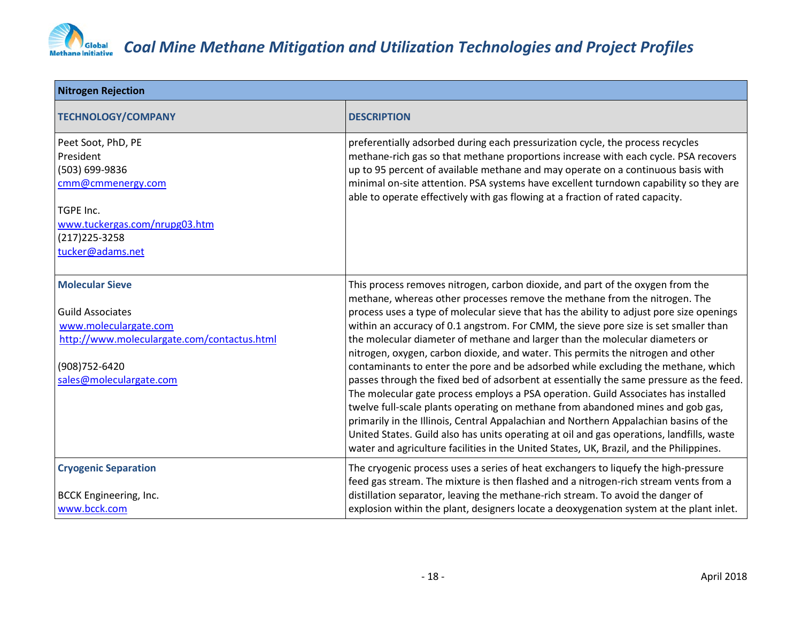

| <b>Nitrogen Rejection</b>                                                                                                                                              |                                                                                                                                                                                                                                                                                                                                                                                                                                                                                                                                                                                                                                                                                                                                                                                                                                                                                                                                                                                                                                                                                                                                                                |
|------------------------------------------------------------------------------------------------------------------------------------------------------------------------|----------------------------------------------------------------------------------------------------------------------------------------------------------------------------------------------------------------------------------------------------------------------------------------------------------------------------------------------------------------------------------------------------------------------------------------------------------------------------------------------------------------------------------------------------------------------------------------------------------------------------------------------------------------------------------------------------------------------------------------------------------------------------------------------------------------------------------------------------------------------------------------------------------------------------------------------------------------------------------------------------------------------------------------------------------------------------------------------------------------------------------------------------------------|
| <b>TECHNOLOGY/COMPANY</b>                                                                                                                                              | <b>DESCRIPTION</b>                                                                                                                                                                                                                                                                                                                                                                                                                                                                                                                                                                                                                                                                                                                                                                                                                                                                                                                                                                                                                                                                                                                                             |
| Peet Soot, PhD, PE<br>President<br>(503) 699-9836<br>cmm@cmmenergy.com<br>TGPE Inc.<br>www.tuckergas.com/nrupg03.htm<br>$(217)$ 225-3258<br>tucker@adams.net           | preferentially adsorbed during each pressurization cycle, the process recycles<br>methane-rich gas so that methane proportions increase with each cycle. PSA recovers<br>up to 95 percent of available methane and may operate on a continuous basis with<br>minimal on-site attention. PSA systems have excellent turndown capability so they are<br>able to operate effectively with gas flowing at a fraction of rated capacity.                                                                                                                                                                                                                                                                                                                                                                                                                                                                                                                                                                                                                                                                                                                            |
| <b>Molecular Sieve</b><br><b>Guild Associates</b><br>www.moleculargate.com<br>http://www.moleculargate.com/contactus.html<br>(908) 752-6420<br>sales@moleculargate.com | This process removes nitrogen, carbon dioxide, and part of the oxygen from the<br>methane, whereas other processes remove the methane from the nitrogen. The<br>process uses a type of molecular sieve that has the ability to adjust pore size openings<br>within an accuracy of 0.1 angstrom. For CMM, the sieve pore size is set smaller than<br>the molecular diameter of methane and larger than the molecular diameters or<br>nitrogen, oxygen, carbon dioxide, and water. This permits the nitrogen and other<br>contaminants to enter the pore and be adsorbed while excluding the methane, which<br>passes through the fixed bed of adsorbent at essentially the same pressure as the feed.<br>The molecular gate process employs a PSA operation. Guild Associates has installed<br>twelve full-scale plants operating on methane from abandoned mines and gob gas,<br>primarily in the Illinois, Central Appalachian and Northern Appalachian basins of the<br>United States. Guild also has units operating at oil and gas operations, landfills, waste<br>water and agriculture facilities in the United States, UK, Brazil, and the Philippines. |
| <b>Cryogenic Separation</b><br><b>BCCK Engineering, Inc.</b><br>www.bcck.com                                                                                           | The cryogenic process uses a series of heat exchangers to liquefy the high-pressure<br>feed gas stream. The mixture is then flashed and a nitrogen-rich stream vents from a<br>distillation separator, leaving the methane-rich stream. To avoid the danger of<br>explosion within the plant, designers locate a deoxygenation system at the plant inlet.                                                                                                                                                                                                                                                                                                                                                                                                                                                                                                                                                                                                                                                                                                                                                                                                      |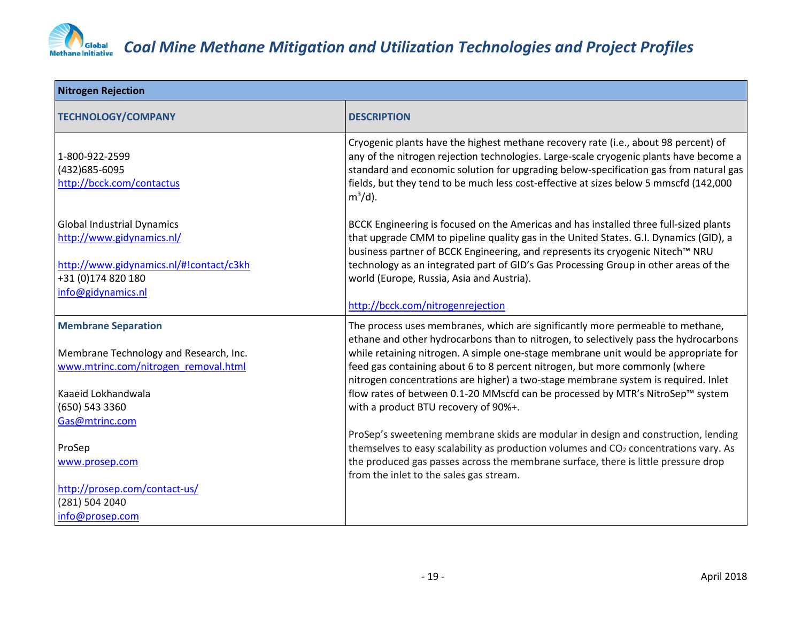

| <b>Nitrogen Rejection</b>                                                                                                                             |                                                                                                                                                                                                                                                                                                                                                                                                                                                                                                                                                              |
|-------------------------------------------------------------------------------------------------------------------------------------------------------|--------------------------------------------------------------------------------------------------------------------------------------------------------------------------------------------------------------------------------------------------------------------------------------------------------------------------------------------------------------------------------------------------------------------------------------------------------------------------------------------------------------------------------------------------------------|
| <b>TECHNOLOGY/COMPANY</b>                                                                                                                             | <b>DESCRIPTION</b>                                                                                                                                                                                                                                                                                                                                                                                                                                                                                                                                           |
| 1-800-922-2599<br>(432)685-6095<br>http://bcck.com/contactus                                                                                          | Cryogenic plants have the highest methane recovery rate (i.e., about 98 percent) of<br>any of the nitrogen rejection technologies. Large-scale cryogenic plants have become a<br>standard and economic solution for upgrading below-specification gas from natural gas<br>fields, but they tend to be much less cost-effective at sizes below 5 mmscfd (142,000<br>$m^3/d$ ).                                                                                                                                                                                |
| <b>Global Industrial Dynamics</b><br>http://www.gidynamics.nl/<br>http://www.gidynamics.nl/#!contact/c3kh<br>+31 (0)174 820 180<br>info@gidynamics.nl | BCCK Engineering is focused on the Americas and has installed three full-sized plants<br>that upgrade CMM to pipeline quality gas in the United States. G.I. Dynamics (GID), a<br>business partner of BCCK Engineering, and represents its cryogenic Nitech™ NRU<br>technology as an integrated part of GID's Gas Processing Group in other areas of the<br>world (Europe, Russia, Asia and Austria).<br>http://bcck.com/nitrogenrejection                                                                                                                   |
| <b>Membrane Separation</b><br>Membrane Technology and Research, Inc.<br>www.mtrinc.com/nitrogen removal.html<br>Kaaeid Lokhandwala<br>(650) 543 3360  | The process uses membranes, which are significantly more permeable to methane,<br>ethane and other hydrocarbons than to nitrogen, to selectively pass the hydrocarbons<br>while retaining nitrogen. A simple one-stage membrane unit would be appropriate for<br>feed gas containing about 6 to 8 percent nitrogen, but more commonly (where<br>nitrogen concentrations are higher) a two-stage membrane system is required. Inlet<br>flow rates of between 0.1-20 MMscfd can be processed by MTR's NitroSep™ system<br>with a product BTU recovery of 90%+. |
| Gas@mtrinc.com<br>ProSep<br>www.prosep.com<br>http://prosep.com/contact-us/<br>(281) 504 2040<br>info@prosep.com                                      | ProSep's sweetening membrane skids are modular in design and construction, lending<br>themselves to easy scalability as production volumes and CO <sub>2</sub> concentrations vary. As<br>the produced gas passes across the membrane surface, there is little pressure drop<br>from the inlet to the sales gas stream.                                                                                                                                                                                                                                      |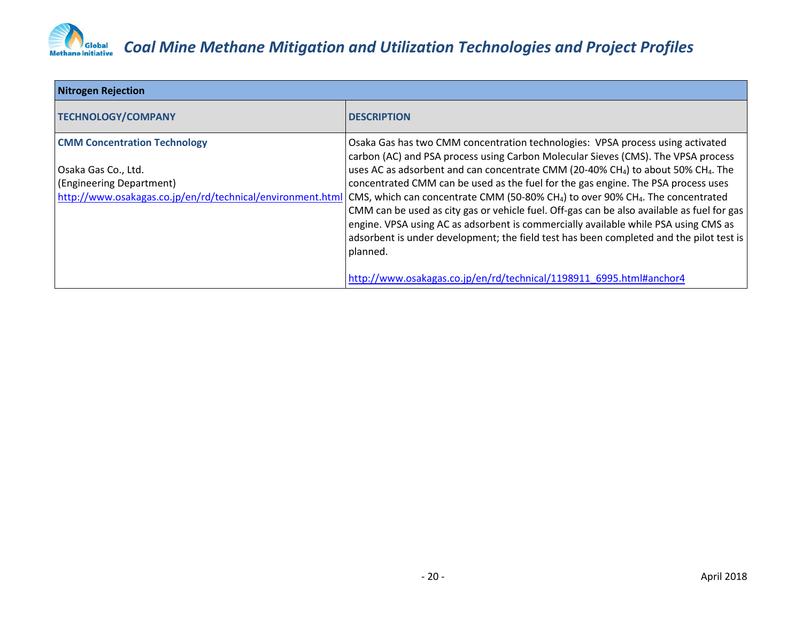

| <b>Nitrogen Rejection</b>                                                                                                                            |                                                                                                                                                                                                                                                                                                                                                                                                                                                                                                                                                                                                                                                                                                                                                                              |
|------------------------------------------------------------------------------------------------------------------------------------------------------|------------------------------------------------------------------------------------------------------------------------------------------------------------------------------------------------------------------------------------------------------------------------------------------------------------------------------------------------------------------------------------------------------------------------------------------------------------------------------------------------------------------------------------------------------------------------------------------------------------------------------------------------------------------------------------------------------------------------------------------------------------------------------|
| <b>TECHNOLOGY/COMPANY</b>                                                                                                                            | <b>DESCRIPTION</b>                                                                                                                                                                                                                                                                                                                                                                                                                                                                                                                                                                                                                                                                                                                                                           |
| <b>CMM Concentration Technology</b><br>Osaka Gas Co., Ltd.<br>(Engineering Department)<br>http://www.osakagas.co.jp/en/rd/technical/environment.html | Osaka Gas has two CMM concentration technologies: VPSA process using activated<br>carbon (AC) and PSA process using Carbon Molecular Sieves (CMS). The VPSA process<br>uses AC as adsorbent and can concentrate CMM (20-40% CH <sub>4</sub> ) to about 50% CH <sub>4</sub> . The<br>concentrated CMM can be used as the fuel for the gas engine. The PSA process uses<br>CMS, which can concentrate CMM (50-80% CH <sub>4</sub> ) to over 90% CH <sub>4</sub> . The concentrated<br>CMM can be used as city gas or vehicle fuel. Off-gas can be also available as fuel for gas<br>engine. VPSA using AC as adsorbent is commercially available while PSA using CMS as<br>adsorbent is under development; the field test has been completed and the pilot test is<br>planned. |
|                                                                                                                                                      | http://www.osakagas.co.jp/en/rd/technical/1198911_6995.html#anchor4                                                                                                                                                                                                                                                                                                                                                                                                                                                                                                                                                                                                                                                                                                          |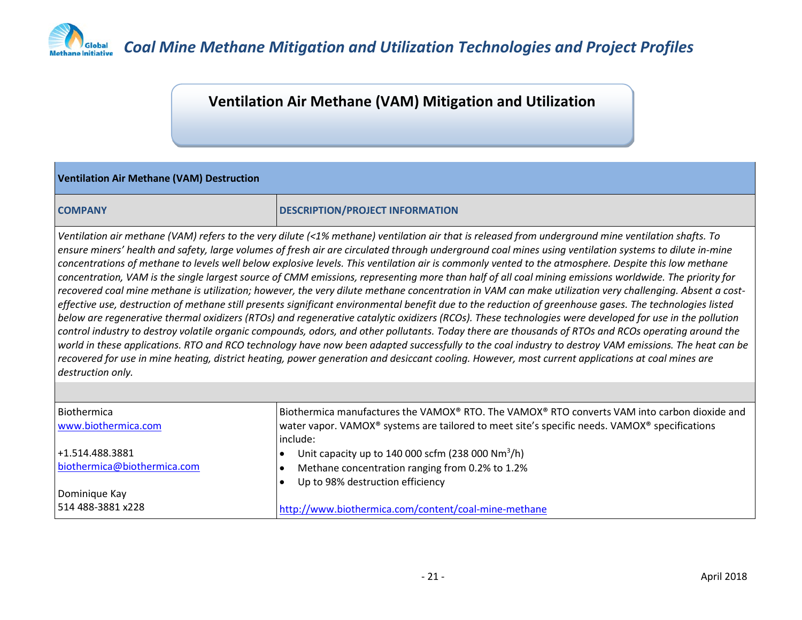

#### **Ventilation Air Methane (VAM) Mitigation and Utilization**

#### **Ventilation Air Methane (VAM) Destruction**

#### **COMPANY DESCRIPTION/PROJECT INFORMATION**

*Ventilation air methane (VAM) refers to the very dilute (<1% methane) ventilation air that is released from underground mine ventilation shafts. To ensure miners' health and safety, large volumes of fresh air are circulated through underground coal mines using ventilation systems to dilute in-mine concentrations of methane to levels well below explosive levels. This ventilation air is commonly vented to the atmosphere. Despite this low methane concentration, VAM is the single largest source of CMM emissions, representing more than half of all coal mining emissions worldwide. The priority for recovered coal mine methane is utilization; however, the very dilute methane concentration in VAM can make utilization very challenging. Absent a costeffective use, destruction of methane still presents significant environmental benefit due to the reduction of greenhouse gases. The technologies listed below are regenerative thermal oxidizers (RTOs) and regenerative catalytic oxidizers (RCOs). These technologies were developed for use in the pollution control industry to destroy volatile organic compounds, odors, and other pollutants. Today there are thousands of RTOs and RCOs operating around the world in these applications. RTO and RCO technology have now been adapted successfully to the coal industry to destroy VAM emissions. The heat can be recovered for use in mine heating, district heating, power generation and desiccant cooling. However, most current applications at coal mines are destruction only.*

| Biothermica<br>www.biothermica.com | Biothermica manufactures the VAMOX® RTO. The VAMOX® RTO converts VAM into carbon dioxide and<br>water vapor. VAMOX® systems are tailored to meet site's specific needs. VAMOX® specifications |
|------------------------------------|-----------------------------------------------------------------------------------------------------------------------------------------------------------------------------------------------|
|                                    |                                                                                                                                                                                               |
|                                    | linclude:                                                                                                                                                                                     |
| +1.514.488.3881                    | Unit capacity up to 140 000 scfm (238 000 $Nm^3/h$ )                                                                                                                                          |
| biothermica@biothermica.com        | Methane concentration ranging from 0.2% to 1.2%                                                                                                                                               |
|                                    | Up to 98% destruction efficiency                                                                                                                                                              |
| Dominique Kay                      |                                                                                                                                                                                               |
| 514 488-3881 x228                  | http://www.biothermica.com/content/coal-mine-methane                                                                                                                                          |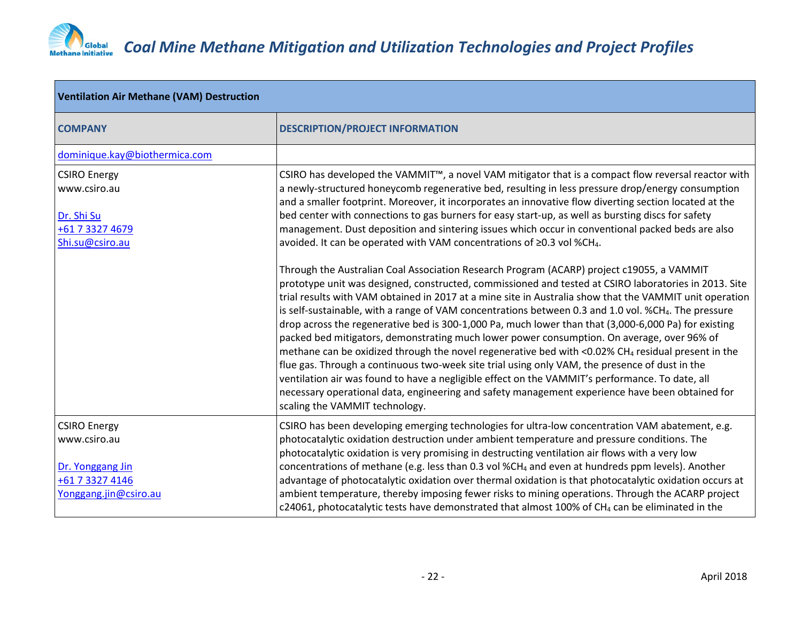

| <b>Ventilation Air Methane (VAM) Destruction</b>                                                    |                                                                                                                                                                                                                                                                                                                                                                                                                                                                                                                                                                                                                                                                                                                                                                                                                                                                                                                                                                                                                                                                                        |
|-----------------------------------------------------------------------------------------------------|----------------------------------------------------------------------------------------------------------------------------------------------------------------------------------------------------------------------------------------------------------------------------------------------------------------------------------------------------------------------------------------------------------------------------------------------------------------------------------------------------------------------------------------------------------------------------------------------------------------------------------------------------------------------------------------------------------------------------------------------------------------------------------------------------------------------------------------------------------------------------------------------------------------------------------------------------------------------------------------------------------------------------------------------------------------------------------------|
| <b>COMPANY</b>                                                                                      | <b>DESCRIPTION/PROJECT INFORMATION</b>                                                                                                                                                                                                                                                                                                                                                                                                                                                                                                                                                                                                                                                                                                                                                                                                                                                                                                                                                                                                                                                 |
| dominique.kay@biothermica.com                                                                       |                                                                                                                                                                                                                                                                                                                                                                                                                                                                                                                                                                                                                                                                                                                                                                                                                                                                                                                                                                                                                                                                                        |
| <b>CSIRO Energy</b><br>www.csiro.au<br>Dr. Shi Su<br>+61 7 3327 4679<br>Shi.su@csiro.au             | CSIRO has developed the VAMMIT <sup>™</sup> , a novel VAM mitigator that is a compact flow reversal reactor with<br>a newly-structured honeycomb regenerative bed, resulting in less pressure drop/energy consumption<br>and a smaller footprint. Moreover, it incorporates an innovative flow diverting section located at the<br>bed center with connections to gas burners for easy start-up, as well as bursting discs for safety<br>management. Dust deposition and sintering issues which occur in conventional packed beds are also<br>avoided. It can be operated with VAM concentrations of ≥0.3 vol %CH <sub>4</sub> .                                                                                                                                                                                                                                                                                                                                                                                                                                                       |
|                                                                                                     | Through the Australian Coal Association Research Program (ACARP) project c19055, a VAMMIT<br>prototype unit was designed, constructed, commissioned and tested at CSIRO laboratories in 2013. Site<br>trial results with VAM obtained in 2017 at a mine site in Australia show that the VAMMIT unit operation<br>is self-sustainable, with a range of VAM concentrations between 0.3 and 1.0 vol. %CH4. The pressure<br>drop across the regenerative bed is 300-1,000 Pa, much lower than that (3,000-6,000 Pa) for existing<br>packed bed mitigators, demonstrating much lower power consumption. On average, over 96% of<br>methane can be oxidized through the novel regenerative bed with <0.02% CH <sub>4</sub> residual present in the<br>flue gas. Through a continuous two-week site trial using only VAM, the presence of dust in the<br>ventilation air was found to have a negligible effect on the VAMMIT's performance. To date, all<br>necessary operational data, engineering and safety management experience have been obtained for<br>scaling the VAMMIT technology. |
| <b>CSIRO Energy</b><br>www.csiro.au<br>Dr. Yonggang Jin<br>+61 7 3327 4146<br>Yonggang.jin@csiro.au | CSIRO has been developing emerging technologies for ultra-low concentration VAM abatement, e.g.<br>photocatalytic oxidation destruction under ambient temperature and pressure conditions. The<br>photocatalytic oxidation is very promising in destructing ventilation air flows with a very low<br>concentrations of methane (e.g. less than 0.3 vol %CH <sub>4</sub> and even at hundreds ppm levels). Another<br>advantage of photocatalytic oxidation over thermal oxidation is that photocatalytic oxidation occurs at<br>ambient temperature, thereby imposing fewer risks to mining operations. Through the ACARP project<br>c24061, photocatalytic tests have demonstrated that almost 100% of CH <sub>4</sub> can be eliminated in the                                                                                                                                                                                                                                                                                                                                       |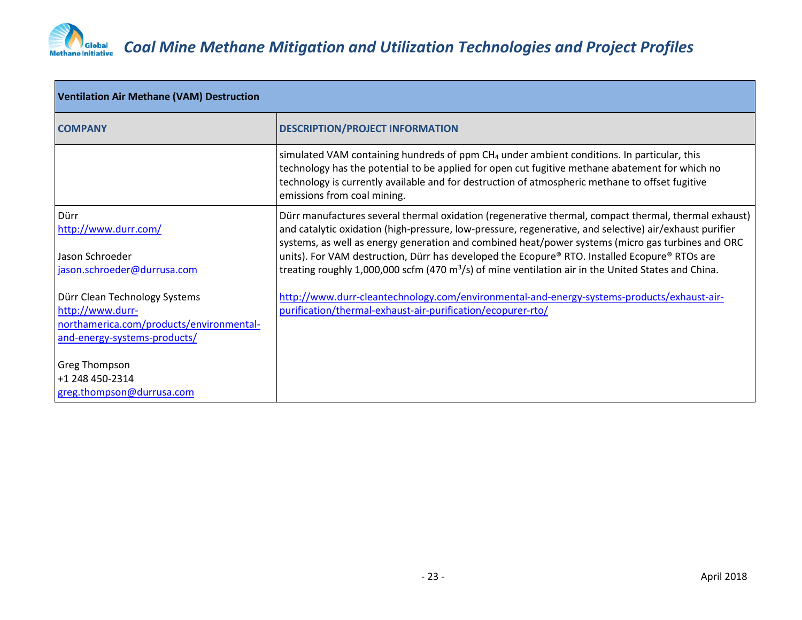

| <b>Ventilation Air Methane (VAM) Destruction</b>                                                                              |                                                                                                                                                                                                                                                                                                                                                                                                                                                                                                                                 |
|-------------------------------------------------------------------------------------------------------------------------------|---------------------------------------------------------------------------------------------------------------------------------------------------------------------------------------------------------------------------------------------------------------------------------------------------------------------------------------------------------------------------------------------------------------------------------------------------------------------------------------------------------------------------------|
| <b>COMPANY</b>                                                                                                                | <b>DESCRIPTION/PROJECT INFORMATION</b>                                                                                                                                                                                                                                                                                                                                                                                                                                                                                          |
|                                                                                                                               | simulated VAM containing hundreds of $ppm CH_4$ under ambient conditions. In particular, this<br>technology has the potential to be applied for open cut fugitive methane abatement for which no<br>technology is currently available and for destruction of atmospheric methane to offset fugitive<br>emissions from coal mining.                                                                                                                                                                                              |
| Dürr<br>http://www.durr.com/<br>Jason Schroeder<br>jason.schroeder@durrusa.com                                                | Dürr manufactures several thermal oxidation (regenerative thermal, compact thermal, thermal exhaust)<br>and catalytic oxidation (high-pressure, low-pressure, regenerative, and selective) air/exhaust purifier<br>systems, as well as energy generation and combined heat/power systems (micro gas turbines and ORC<br>units). For VAM destruction, Dürr has developed the Ecopure® RTO. Installed Ecopure® RTOs are<br>treating roughly 1,000,000 scfm (470 $m^3/s$ ) of mine ventilation air in the United States and China. |
| Dürr Clean Technology Systems<br>http://www.durr-<br>northamerica.com/products/environmental-<br>and-energy-systems-products/ | http://www.durr-cleantechnology.com/environmental-and-energy-systems-products/exhaust-air-<br>purification/thermal-exhaust-air-purification/ecopurer-rto/                                                                                                                                                                                                                                                                                                                                                                       |
| Greg Thompson<br>+1 248 450-2314<br>greg.thompson@durrusa.com                                                                 |                                                                                                                                                                                                                                                                                                                                                                                                                                                                                                                                 |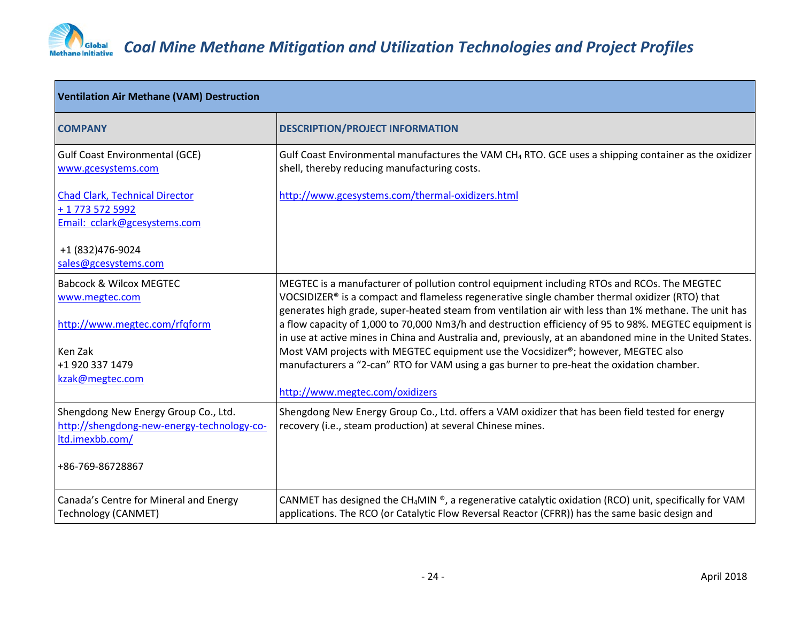

| <b>Ventilation Air Methane (VAM) Destruction</b>                                                      |                                                                                                                                                                                                                                                                                                        |
|-------------------------------------------------------------------------------------------------------|--------------------------------------------------------------------------------------------------------------------------------------------------------------------------------------------------------------------------------------------------------------------------------------------------------|
| <b>COMPANY</b>                                                                                        | <b>DESCRIPTION/PROJECT INFORMATION</b>                                                                                                                                                                                                                                                                 |
| <b>Gulf Coast Environmental (GCE)</b><br>www.gcesystems.com                                           | Gulf Coast Environmental manufactures the VAM CH <sub>4</sub> RTO. GCE uses a shipping container as the oxidizer<br>shell, thereby reducing manufacturing costs.                                                                                                                                       |
| <b>Chad Clark, Technical Director</b><br>+ 1 773 572 5992<br>Email: cclark@gcesystems.com             | http://www.gcesystems.com/thermal-oxidizers.html                                                                                                                                                                                                                                                       |
| +1 (832) 476-9024<br>sales@gcesystems.com                                                             |                                                                                                                                                                                                                                                                                                        |
| <b>Babcock &amp; Wilcox MEGTEC</b><br>www.megtec.com                                                  | MEGTEC is a manufacturer of pollution control equipment including RTOs and RCOs. The MEGTEC<br>VOCSIDIZER® is a compact and flameless regenerative single chamber thermal oxidizer (RTO) that<br>generates high grade, super-heated steam from ventilation air with less than 1% methane. The unit has |
| http://www.megtec.com/rfqform                                                                         | a flow capacity of 1,000 to 70,000 Nm3/h and destruction efficiency of 95 to 98%. MEGTEC equipment is<br>in use at active mines in China and Australia and, previously, at an abandoned mine in the United States.                                                                                     |
| Ken Zak<br>+1 920 337 1479<br>kzak@megtec.com                                                         | Most VAM projects with MEGTEC equipment use the Vocsidizer®; however, MEGTEC also<br>manufacturers a "2-can" RTO for VAM using a gas burner to pre-heat the oxidation chamber.                                                                                                                         |
|                                                                                                       | http://www.megtec.com/oxidizers                                                                                                                                                                                                                                                                        |
| Shengdong New Energy Group Co., Ltd.<br>http://shengdong-new-energy-technology-co-<br>ltd.imexbb.com/ | Shengdong New Energy Group Co., Ltd. offers a VAM oxidizer that has been field tested for energy<br>recovery (i.e., steam production) at several Chinese mines.                                                                                                                                        |
| +86-769-86728867                                                                                      |                                                                                                                                                                                                                                                                                                        |
| Canada's Centre for Mineral and Energy<br><b>Technology (CANMET)</b>                                  | CANMET has designed the CH <sub>4</sub> MIN ®, a regenerative catalytic oxidation (RCO) unit, specifically for VAM<br>applications. The RCO (or Catalytic Flow Reversal Reactor (CFRR)) has the same basic design and                                                                                  |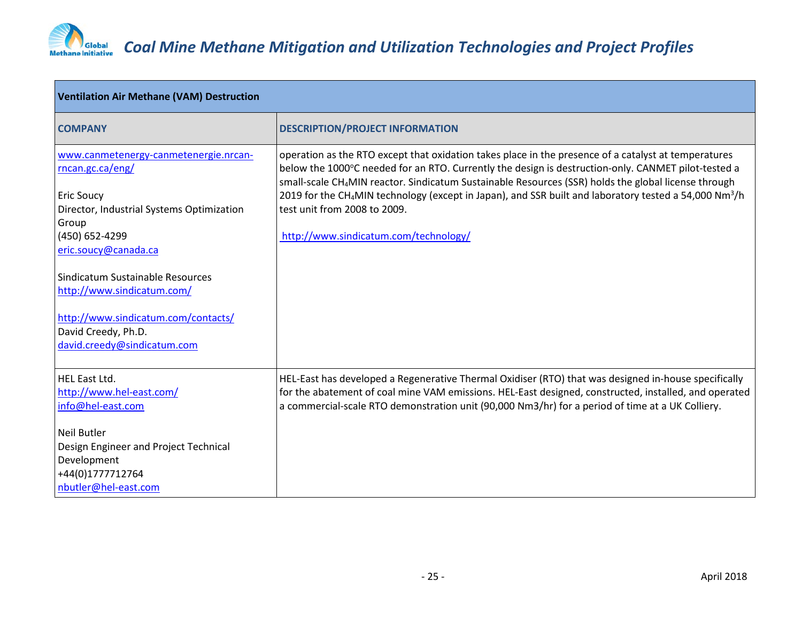

| <b>Ventilation Air Methane (VAM) Destruction</b>                                                                                                                                                                                                   |  |
|----------------------------------------------------------------------------------------------------------------------------------------------------------------------------------------------------------------------------------------------------|--|
| <b>DESCRIPTION/PROJECT INFORMATION</b>                                                                                                                                                                                                             |  |
| operation as the RTO except that oxidation takes place in the presence of a catalyst at temperatures<br>below the 1000°C needed for an RTO. Currently the design is destruction-only. CANMET pilot-tested a                                        |  |
| small-scale CH <sub>4</sub> MIN reactor. Sindicatum Sustainable Resources (SSR) holds the global license through<br>2019 for the CH <sub>4</sub> MIN technology (except in Japan), and SSR built and laboratory tested a 54,000 Nm <sup>3</sup> /h |  |
| test unit from 2008 to 2009.                                                                                                                                                                                                                       |  |
| http://www.sindicatum.com/technology/                                                                                                                                                                                                              |  |
|                                                                                                                                                                                                                                                    |  |
|                                                                                                                                                                                                                                                    |  |
|                                                                                                                                                                                                                                                    |  |
|                                                                                                                                                                                                                                                    |  |
|                                                                                                                                                                                                                                                    |  |
|                                                                                                                                                                                                                                                    |  |
| HEL-East has developed a Regenerative Thermal Oxidiser (RTO) that was designed in-house specifically                                                                                                                                               |  |
| for the abatement of coal mine VAM emissions. HEL-East designed, constructed, installed, and operated                                                                                                                                              |  |
| a commercial-scale RTO demonstration unit (90,000 Nm3/hr) for a period of time at a UK Colliery.                                                                                                                                                   |  |
|                                                                                                                                                                                                                                                    |  |
|                                                                                                                                                                                                                                                    |  |
|                                                                                                                                                                                                                                                    |  |
|                                                                                                                                                                                                                                                    |  |
|                                                                                                                                                                                                                                                    |  |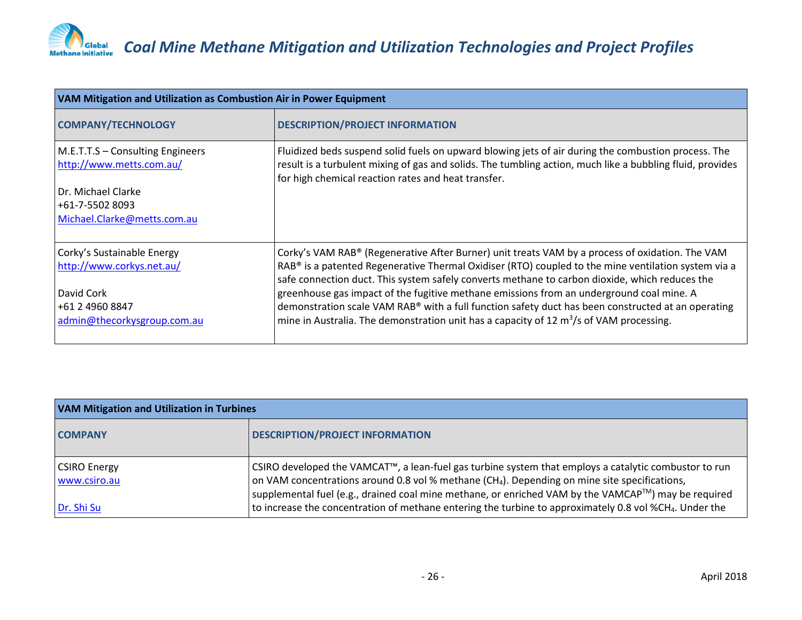

| <b>VAM Mitigation and Utilization as Combustion Air in Power Equipment</b>                                                                                                                                                                                              |  |
|-------------------------------------------------------------------------------------------------------------------------------------------------------------------------------------------------------------------------------------------------------------------------|--|
| <b>DESCRIPTION/PROJECT INFORMATION</b>                                                                                                                                                                                                                                  |  |
| Fluidized beds suspend solid fuels on upward blowing jets of air during the combustion process. The<br>result is a turbulent mixing of gas and solids. The tumbling action, much like a bubbling fluid, provides<br>for high chemical reaction rates and heat transfer. |  |
|                                                                                                                                                                                                                                                                         |  |
|                                                                                                                                                                                                                                                                         |  |
|                                                                                                                                                                                                                                                                         |  |
| Corky's VAM RAB® (Regenerative After Burner) unit treats VAM by a process of oxidation. The VAM                                                                                                                                                                         |  |
| RAB® is a patented Regenerative Thermal Oxidiser (RTO) coupled to the mine ventilation system via a<br>safe connection duct. This system safely converts methane to carbon dioxide, which reduces the                                                                   |  |
| greenhouse gas impact of the fugitive methane emissions from an underground coal mine. A                                                                                                                                                                                |  |
| demonstration scale VAM RAB® with a full function safety duct has been constructed at an operating                                                                                                                                                                      |  |
| mine in Australia. The demonstration unit has a capacity of 12 $\text{m}^3\text{/s}$ of VAM processing.                                                                                                                                                                 |  |
|                                                                                                                                                                                                                                                                         |  |

| <b>VAM Mitigation and Utilization in Turbines</b> |                                                                                                                                                                                                                                                                                                                                         |
|---------------------------------------------------|-----------------------------------------------------------------------------------------------------------------------------------------------------------------------------------------------------------------------------------------------------------------------------------------------------------------------------------------|
| <b>COMPANY</b>                                    | <b>DESCRIPTION/PROJECT INFORMATION</b>                                                                                                                                                                                                                                                                                                  |
| <b>CSIRO Energy</b><br>www.csiro.au               | CSIRO developed the VAMCAT™, a lean-fuel gas turbine system that employs a catalytic combustor to run<br>on VAM concentrations around 0.8 vol % methane (CH <sub>4</sub> ). Depending on mine site specifications,<br>supplemental fuel (e.g., drained coal mine methane, or enriched VAM by the VAMCAP <sup>TM</sup> ) may be required |
| Dr. Shi Su                                        | to increase the concentration of methane entering the turbine to approximately 0.8 vol %CH <sub>4</sub> . Under the                                                                                                                                                                                                                     |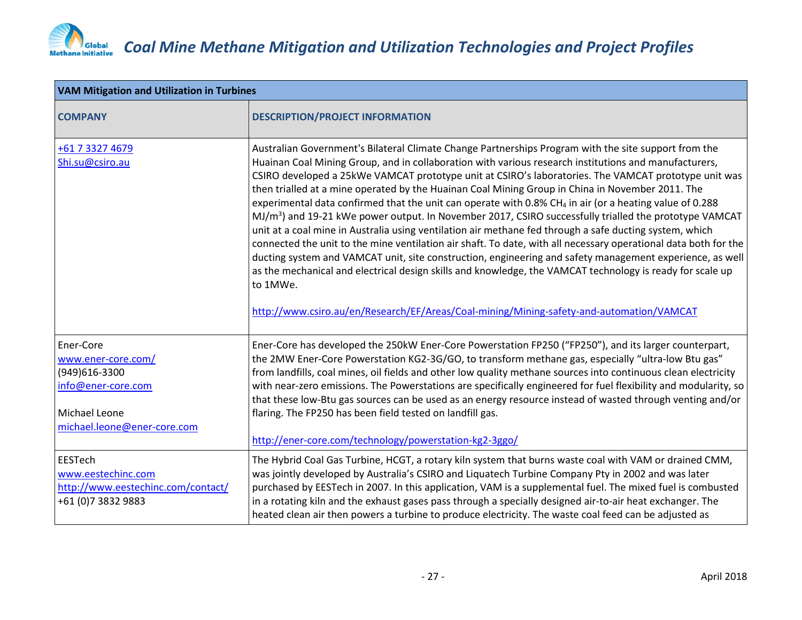

| <b>VAM Mitigation and Utilization in Turbines</b>                                                                      |                                                                                                                                                                                                                                                                                                                                                                                                                                                                                                                                                                                                                                                                                                                                                                                                                                                                                                                                                                                                                                                                                                                                                                                                                             |
|------------------------------------------------------------------------------------------------------------------------|-----------------------------------------------------------------------------------------------------------------------------------------------------------------------------------------------------------------------------------------------------------------------------------------------------------------------------------------------------------------------------------------------------------------------------------------------------------------------------------------------------------------------------------------------------------------------------------------------------------------------------------------------------------------------------------------------------------------------------------------------------------------------------------------------------------------------------------------------------------------------------------------------------------------------------------------------------------------------------------------------------------------------------------------------------------------------------------------------------------------------------------------------------------------------------------------------------------------------------|
| <b>COMPANY</b>                                                                                                         | <b>DESCRIPTION/PROJECT INFORMATION</b>                                                                                                                                                                                                                                                                                                                                                                                                                                                                                                                                                                                                                                                                                                                                                                                                                                                                                                                                                                                                                                                                                                                                                                                      |
| +61 7 3327 4679<br>Shi.su@csiro.au                                                                                     | Australian Government's Bilateral Climate Change Partnerships Program with the site support from the<br>Huainan Coal Mining Group, and in collaboration with various research institutions and manufacturers,<br>CSIRO developed a 25kWe VAMCAT prototype unit at CSIRO's laboratories. The VAMCAT prototype unit was<br>then trialled at a mine operated by the Huainan Coal Mining Group in China in November 2011. The<br>experimental data confirmed that the unit can operate with 0.8% CH <sub>4</sub> in air (or a heating value of 0.288<br>$MJ/m3$ ) and 19-21 kWe power output. In November 2017, CSIRO successfully trialled the prototype VAMCAT<br>unit at a coal mine in Australia using ventilation air methane fed through a safe ducting system, which<br>connected the unit to the mine ventilation air shaft. To date, with all necessary operational data both for the<br>ducting system and VAMCAT unit, site construction, engineering and safety management experience, as well<br>as the mechanical and electrical design skills and knowledge, the VAMCAT technology is ready for scale up<br>to 1MWe.<br>http://www.csiro.au/en/Research/EF/Areas/Coal-mining/Mining-safety-and-automation/VAMCAT |
| Ener-Core<br>www.ener-core.com/<br>(949)616-3300<br>info@ener-core.com<br>Michael Leone<br>michael.leone@ener-core.com | Ener-Core has developed the 250kW Ener-Core Powerstation FP250 ("FP250"), and its larger counterpart,<br>the 2MW Ener-Core Powerstation KG2-3G/GO, to transform methane gas, especially "ultra-low Btu gas"<br>from landfills, coal mines, oil fields and other low quality methane sources into continuous clean electricity<br>with near-zero emissions. The Powerstations are specifically engineered for fuel flexibility and modularity, so<br>that these low-Btu gas sources can be used as an energy resource instead of wasted through venting and/or<br>flaring. The FP250 has been field tested on landfill gas.<br>http://ener-core.com/technology/powerstation-kg2-3ggo/                                                                                                                                                                                                                                                                                                                                                                                                                                                                                                                                        |
| EESTech<br>www.eestechinc.com<br>http://www.eestechinc.com/contact/<br>+61 (0) 7 3832 9883                             | The Hybrid Coal Gas Turbine, HCGT, a rotary kiln system that burns waste coal with VAM or drained CMM,<br>was jointly developed by Australia's CSIRO and Liquatech Turbine Company Pty in 2002 and was later<br>purchased by EESTech in 2007. In this application, VAM is a supplemental fuel. The mixed fuel is combusted<br>in a rotating kiln and the exhaust gases pass through a specially designed air-to-air heat exchanger. The<br>heated clean air then powers a turbine to produce electricity. The waste coal feed can be adjusted as                                                                                                                                                                                                                                                                                                                                                                                                                                                                                                                                                                                                                                                                            |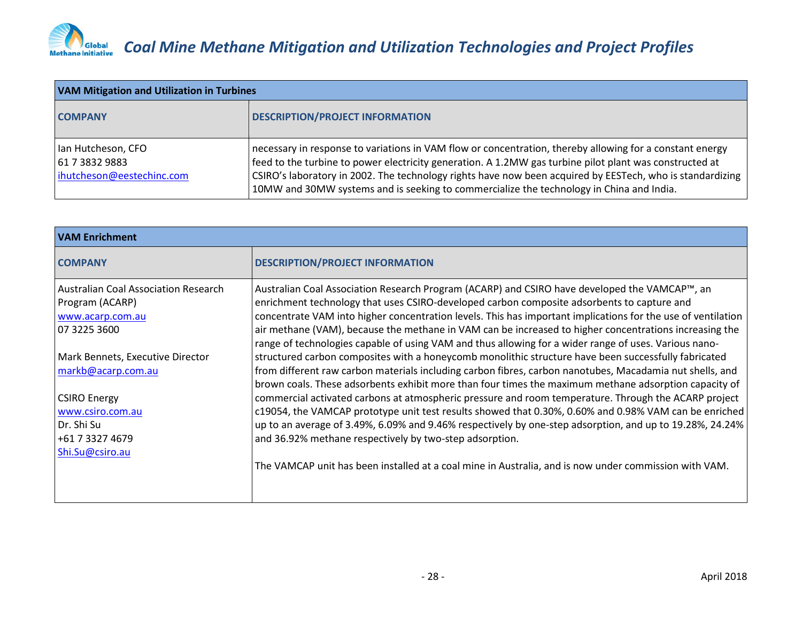| <b>VAM Mitigation and Utilization in Turbines</b>                 |                                                                                                                                                                                                                                                                                                                                                                                                                              |
|-------------------------------------------------------------------|------------------------------------------------------------------------------------------------------------------------------------------------------------------------------------------------------------------------------------------------------------------------------------------------------------------------------------------------------------------------------------------------------------------------------|
| <b>COMPANY</b>                                                    | <b>DESCRIPTION/PROJECT INFORMATION</b>                                                                                                                                                                                                                                                                                                                                                                                       |
| Ian Hutcheson, CFO<br>61 7 3832 9883<br>ihutcheson@eestechinc.com | necessary in response to variations in VAM flow or concentration, thereby allowing for a constant energy<br>feed to the turbine to power electricity generation. A 1.2MW gas turbine pilot plant was constructed at<br>CSIRO's laboratory in 2002. The technology rights have now been acquired by EESTech, who is standardizing<br>10MW and 30MW systems and is seeking to commercialize the technology in China and India. |

| <b>VAM Enrichment</b>                                                                                                              |                                                                                                                                                                                                                                                                                                                                                                                                                                                                                                                                                                                                                                                                                                                   |
|------------------------------------------------------------------------------------------------------------------------------------|-------------------------------------------------------------------------------------------------------------------------------------------------------------------------------------------------------------------------------------------------------------------------------------------------------------------------------------------------------------------------------------------------------------------------------------------------------------------------------------------------------------------------------------------------------------------------------------------------------------------------------------------------------------------------------------------------------------------|
| <b>COMPANY</b>                                                                                                                     | <b>DESCRIPTION/PROJECT INFORMATION</b>                                                                                                                                                                                                                                                                                                                                                                                                                                                                                                                                                                                                                                                                            |
| <b>Australian Coal Association Research</b><br>Program (ACARP)<br>www.acarp.com.au<br>07 3225 3600                                 | Australian Coal Association Research Program (ACARP) and CSIRO have developed the VAMCAP™, an<br>enrichment technology that uses CSIRO-developed carbon composite adsorbents to capture and<br>concentrate VAM into higher concentration levels. This has important implications for the use of ventilation<br>air methane (VAM), because the methane in VAM can be increased to higher concentrations increasing the<br>range of technologies capable of using VAM and thus allowing for a wider range of uses. Various nano-                                                                                                                                                                                    |
| Mark Bennets, Executive Director<br>markb@acarp.com.au<br><b>CSIRO Energy</b><br>www.csiro.com.au<br>Dr. Shi Su<br>+61 7 3327 4679 | structured carbon composites with a honeycomb monolithic structure have been successfully fabricated<br>from different raw carbon materials including carbon fibres, carbon nanotubes, Macadamia nut shells, and<br>brown coals. These adsorbents exhibit more than four times the maximum methane adsorption capacity of<br>commercial activated carbons at atmospheric pressure and room temperature. Through the ACARP project<br>c19054, the VAMCAP prototype unit test results showed that 0.30%, 0.60% and 0.98% VAM can be enriched<br>up to an average of 3.49%, 6.09% and 9.46% respectively by one-step adsorption, and up to 19.28%, 24.24%<br>and 36.92% methane respectively by two-step adsorption. |
| Shi.Su@csiro.au                                                                                                                    | The VAMCAP unit has been installed at a coal mine in Australia, and is now under commission with VAM.                                                                                                                                                                                                                                                                                                                                                                                                                                                                                                                                                                                                             |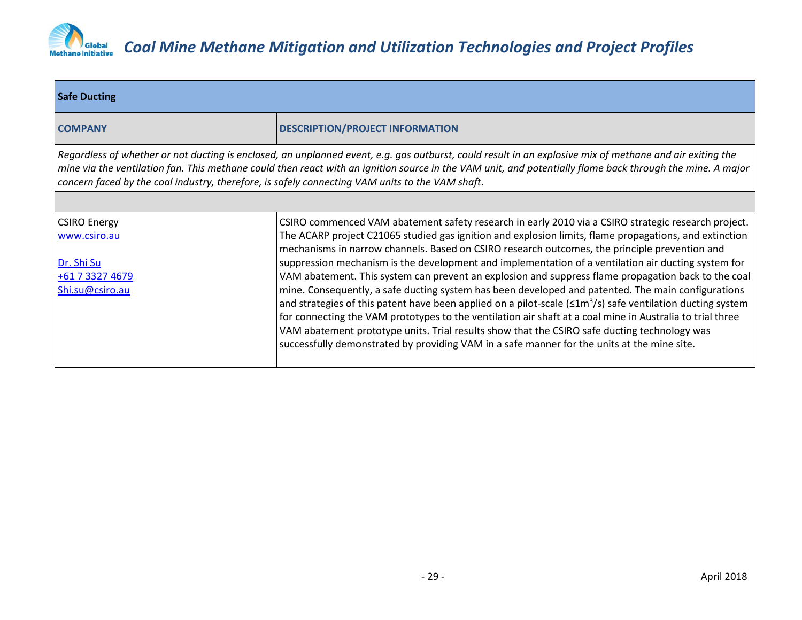

| <b>Safe Ducting</b>                                                                                                                                                                                                                                                                                                                                                                                                      |                                                                                                                                                                                                                                                                                                                                                                                                                                                                                                                                                                                                                                                                                                                                                            |  |
|--------------------------------------------------------------------------------------------------------------------------------------------------------------------------------------------------------------------------------------------------------------------------------------------------------------------------------------------------------------------------------------------------------------------------|------------------------------------------------------------------------------------------------------------------------------------------------------------------------------------------------------------------------------------------------------------------------------------------------------------------------------------------------------------------------------------------------------------------------------------------------------------------------------------------------------------------------------------------------------------------------------------------------------------------------------------------------------------------------------------------------------------------------------------------------------------|--|
| <b>COMPANY</b>                                                                                                                                                                                                                                                                                                                                                                                                           | <b>DESCRIPTION/PROJECT INFORMATION</b>                                                                                                                                                                                                                                                                                                                                                                                                                                                                                                                                                                                                                                                                                                                     |  |
| Regardless of whether or not ducting is enclosed, an unplanned event, e.g. gas outburst, could result in an explosive mix of methane and air exiting the<br>mine via the ventilation fan. This methane could then react with an ignition source in the VAM unit, and potentially flame back through the mine. A major<br>concern faced by the coal industry, therefore, is safely connecting VAM units to the VAM shaft. |                                                                                                                                                                                                                                                                                                                                                                                                                                                                                                                                                                                                                                                                                                                                                            |  |
|                                                                                                                                                                                                                                                                                                                                                                                                                          |                                                                                                                                                                                                                                                                                                                                                                                                                                                                                                                                                                                                                                                                                                                                                            |  |
| <b>CSIRO Energy</b><br>www.csiro.au                                                                                                                                                                                                                                                                                                                                                                                      | CSIRO commenced VAM abatement safety research in early 2010 via a CSIRO strategic research project.<br>The ACARP project C21065 studied gas ignition and explosion limits, flame propagations, and extinction<br>mechanisms in narrow channels. Based on CSIRO research outcomes, the principle prevention and                                                                                                                                                                                                                                                                                                                                                                                                                                             |  |
| Dr. Shi Su<br>+61 7 3327 4679<br>Shi.su@csiro.au                                                                                                                                                                                                                                                                                                                                                                         | suppression mechanism is the development and implementation of a ventilation air ducting system for<br>VAM abatement. This system can prevent an explosion and suppress flame propagation back to the coal<br>mine. Consequently, a safe ducting system has been developed and patented. The main configurations<br>and strategies of this patent have been applied on a pilot-scale ( $\leq 1 \text{m}^3$ /s) safe ventilation ducting system<br>for connecting the VAM prototypes to the ventilation air shaft at a coal mine in Australia to trial three<br>VAM abatement prototype units. Trial results show that the CSIRO safe ducting technology was<br>successfully demonstrated by providing VAM in a safe manner for the units at the mine site. |  |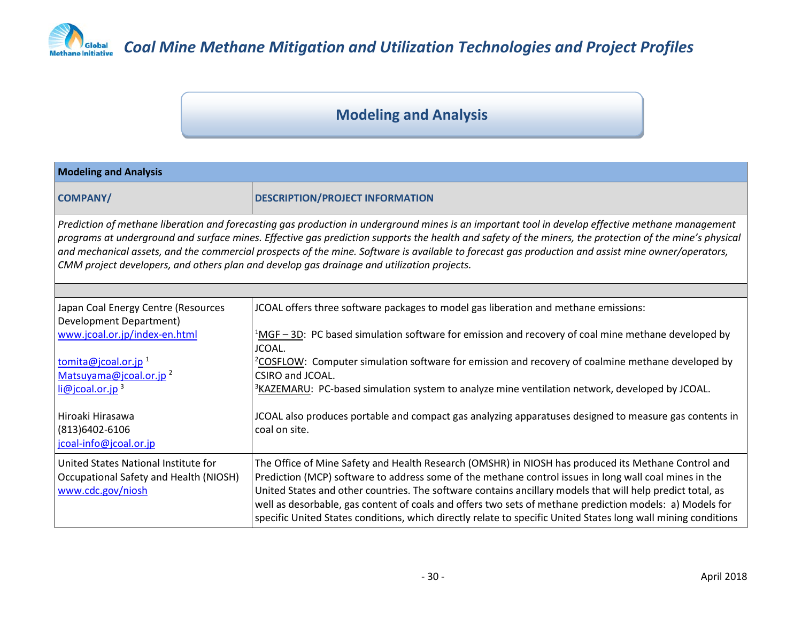

### *COD Global Coal Mine Methane Mitigation and Utilization Technologies and Project Profiles*

### **Modeling and Analysis**

| <b>Modeling and Analysis</b>                                                                                                                                                                                                                                                                                                                                                                                                                                                                                                                                     |                                                                                                                |  |
|------------------------------------------------------------------------------------------------------------------------------------------------------------------------------------------------------------------------------------------------------------------------------------------------------------------------------------------------------------------------------------------------------------------------------------------------------------------------------------------------------------------------------------------------------------------|----------------------------------------------------------------------------------------------------------------|--|
| <b>COMPANY/</b>                                                                                                                                                                                                                                                                                                                                                                                                                                                                                                                                                  | <b>DESCRIPTION/PROJECT INFORMATION</b>                                                                         |  |
| Prediction of methane liberation and forecasting gas production in underground mines is an important tool in develop effective methane management<br>programs at underground and surface mines. Effective gas prediction supports the health and safety of the miners, the protection of the mine's physical<br>and mechanical assets, and the commercial prospects of the mine. Software is available to forecast gas production and assist mine owner/operators,<br>CMM project developers, and others plan and develop gas drainage and utilization projects. |                                                                                                                |  |
|                                                                                                                                                                                                                                                                                                                                                                                                                                                                                                                                                                  |                                                                                                                |  |
| Japan Coal Energy Centre (Resources<br>Development Department)                                                                                                                                                                                                                                                                                                                                                                                                                                                                                                   | JCOAL offers three software packages to model gas liberation and methane emissions:                            |  |
| www.jcoal.or.jp/index-en.html                                                                                                                                                                                                                                                                                                                                                                                                                                                                                                                                    | $^{1}$ MGF – 3D: PC based simulation software for emission and recovery of coal mine methane developed by      |  |
|                                                                                                                                                                                                                                                                                                                                                                                                                                                                                                                                                                  | JCOAL.                                                                                                         |  |
| tomita@jcoal.or.jp <sup>1</sup>                                                                                                                                                                                                                                                                                                                                                                                                                                                                                                                                  | <sup>2</sup> COSFLOW: Computer simulation software for emission and recovery of coalmine methane developed by  |  |
| Matsuyama@jcoal.or.jp <sup>2</sup>                                                                                                                                                                                                                                                                                                                                                                                                                                                                                                                               | CSIRO and JCOAL.                                                                                               |  |
| $li@jcoal.$ or.jp <sup>3</sup>                                                                                                                                                                                                                                                                                                                                                                                                                                                                                                                                   | <sup>3</sup> KAZEMARU: PC-based simulation system to analyze mine ventilation network, developed by JCOAL.     |  |
| Hiroaki Hirasawa                                                                                                                                                                                                                                                                                                                                                                                                                                                                                                                                                 | JCOAL also produces portable and compact gas analyzing apparatuses designed to measure gas contents in         |  |
| (813)6402-6106                                                                                                                                                                                                                                                                                                                                                                                                                                                                                                                                                   | coal on site.                                                                                                  |  |
| jcoal-info@jcoal.or.jp                                                                                                                                                                                                                                                                                                                                                                                                                                                                                                                                           |                                                                                                                |  |
| United States National Institute for                                                                                                                                                                                                                                                                                                                                                                                                                                                                                                                             | The Office of Mine Safety and Health Research (OMSHR) in NIOSH has produced its Methane Control and            |  |
| Occupational Safety and Health (NIOSH)                                                                                                                                                                                                                                                                                                                                                                                                                                                                                                                           | Prediction (MCP) software to address some of the methane control issues in long wall coal mines in the         |  |
| www.cdc.gov/niosh                                                                                                                                                                                                                                                                                                                                                                                                                                                                                                                                                | United States and other countries. The software contains ancillary models that will help predict total, as     |  |
|                                                                                                                                                                                                                                                                                                                                                                                                                                                                                                                                                                  | well as desorbable, gas content of coals and offers two sets of methane prediction models: a) Models for       |  |
|                                                                                                                                                                                                                                                                                                                                                                                                                                                                                                                                                                  | specific United States conditions, which directly relate to specific United States long wall mining conditions |  |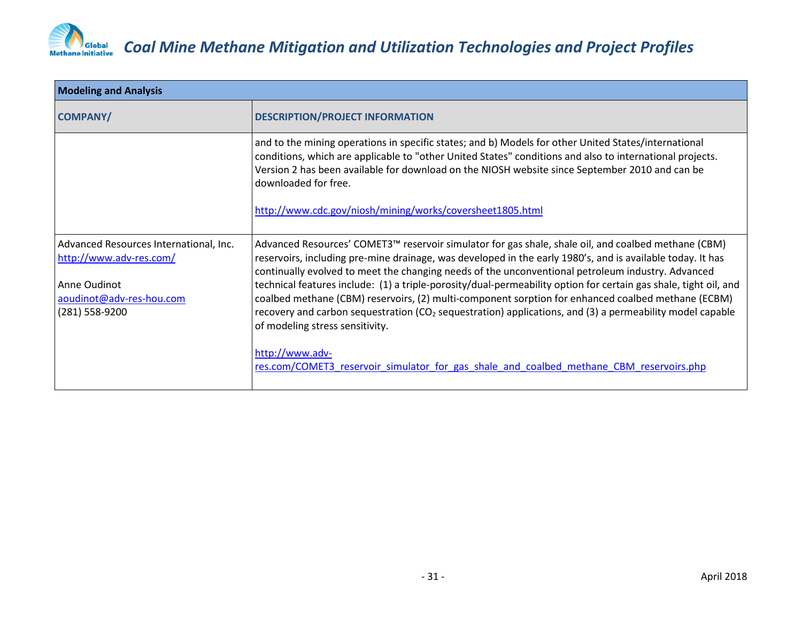

| <b>Modeling and Analysis</b>                                      |                                                                                                                                                                                                                                                                                                                                            |
|-------------------------------------------------------------------|--------------------------------------------------------------------------------------------------------------------------------------------------------------------------------------------------------------------------------------------------------------------------------------------------------------------------------------------|
| <b>COMPANY/</b>                                                   | <b>DESCRIPTION/PROJECT INFORMATION</b>                                                                                                                                                                                                                                                                                                     |
|                                                                   | and to the mining operations in specific states; and b) Models for other United States/international<br>conditions, which are applicable to "other United States" conditions and also to international projects.<br>Version 2 has been available for download on the NIOSH website since September 2010 and can be<br>downloaded for free. |
|                                                                   | http://www.cdc.gov/niosh/mining/works/coversheet1805.html                                                                                                                                                                                                                                                                                  |
| Advanced Resources International, Inc.<br>http://www.adv-res.com/ | Advanced Resources' COMET3™ reservoir simulator for gas shale, shale oil, and coalbed methane (CBM)<br>reservoirs, including pre-mine drainage, was developed in the early 1980's, and is available today. It has<br>continually evolved to meet the changing needs of the unconventional petroleum industry. Advanced                     |
| Anne Oudinot                                                      | technical features include: (1) a triple-porosity/dual-permeability option for certain gas shale, tight oil, and                                                                                                                                                                                                                           |
| aoudinot@adv-res-hou.com<br>(281) 558-9200                        | coalbed methane (CBM) reservoirs, (2) multi-component sorption for enhanced coalbed methane (ECBM)<br>recovery and carbon sequestration (CO <sub>2</sub> sequestration) applications, and (3) a permeability model capable<br>of modeling stress sensitivity.                                                                              |
|                                                                   | http://www.adv-<br>res.com/COMET3 reservoir simulator for gas shale and coalbed methane CBM reservoirs.php                                                                                                                                                                                                                                 |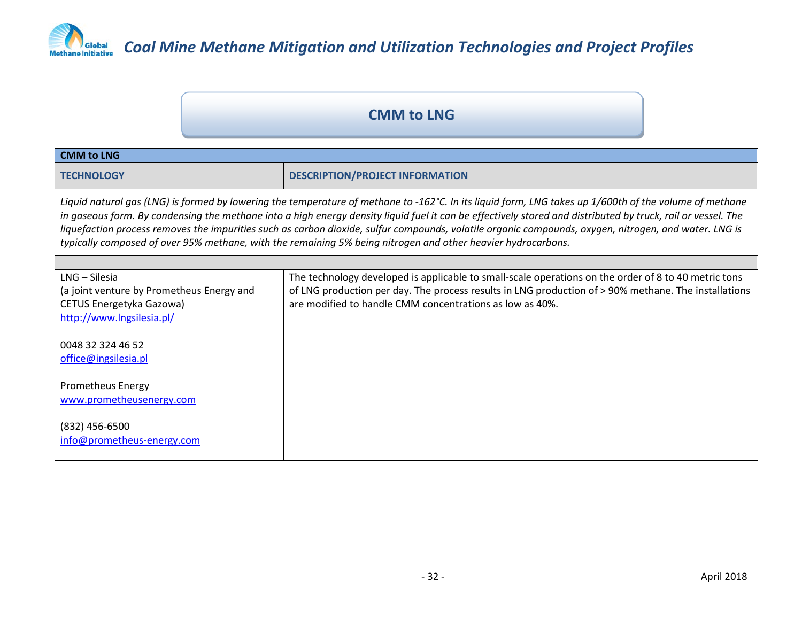

#### **CMM to LNG**

| <b>CMM to LNG</b>                                                                                                                                                                                                                                                                                                                                                                                                                                                                                                                                                                               |                                                                                                                                                                                                                                                                          |  |
|-------------------------------------------------------------------------------------------------------------------------------------------------------------------------------------------------------------------------------------------------------------------------------------------------------------------------------------------------------------------------------------------------------------------------------------------------------------------------------------------------------------------------------------------------------------------------------------------------|--------------------------------------------------------------------------------------------------------------------------------------------------------------------------------------------------------------------------------------------------------------------------|--|
| <b>TECHNOLOGY</b>                                                                                                                                                                                                                                                                                                                                                                                                                                                                                                                                                                               | <b>DESCRIPTION/PROJECT INFORMATION</b>                                                                                                                                                                                                                                   |  |
| Liquid natural gas (LNG) is formed by lowering the temperature of methane to -162°C. In its liquid form, LNG takes up 1/600th of the volume of methane<br>in gaseous form. By condensing the methane into a high energy density liquid fuel it can be effectively stored and distributed by truck, rail or vessel. The<br>liquefaction process removes the impurities such as carbon dioxide, sulfur compounds, volatile organic compounds, oxygen, nitrogen, and water. LNG is<br>typically composed of over 95% methane, with the remaining 5% being nitrogen and other heavier hydrocarbons. |                                                                                                                                                                                                                                                                          |  |
|                                                                                                                                                                                                                                                                                                                                                                                                                                                                                                                                                                                                 |                                                                                                                                                                                                                                                                          |  |
| LNG - Silesia<br>(a joint venture by Prometheus Energy and<br>CETUS Energetyka Gazowa)<br>http://www.lngsilesia.pl/                                                                                                                                                                                                                                                                                                                                                                                                                                                                             | The technology developed is applicable to small-scale operations on the order of 8 to 40 metric tons<br>of LNG production per day. The process results in LNG production of > 90% methane. The installations<br>are modified to handle CMM concentrations as low as 40%. |  |
| 0048 32 324 46 52<br>office@ingsilesia.pl                                                                                                                                                                                                                                                                                                                                                                                                                                                                                                                                                       |                                                                                                                                                                                                                                                                          |  |
| <b>Prometheus Energy</b><br>www.prometheusenergy.com                                                                                                                                                                                                                                                                                                                                                                                                                                                                                                                                            |                                                                                                                                                                                                                                                                          |  |
| (832) 456-6500<br>info@prometheus-energy.com                                                                                                                                                                                                                                                                                                                                                                                                                                                                                                                                                    |                                                                                                                                                                                                                                                                          |  |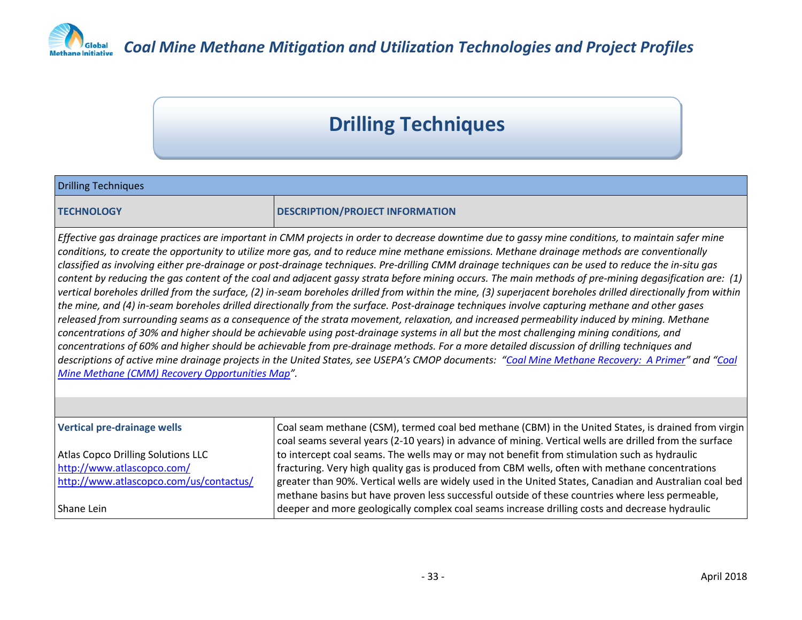

*COD Global Coal Mine Methane Mitigation and Utilization Technologies and Project Profiles* 

### **Drilling Techniques**

| <b>Drilling Techniques</b>                                                                                                                                                                                                                                                                                                                                                                                                                                                                                                                                                                                                                                                                                                                                                                                                                                                                                                                                                                                                                                                                                                                                                                                                                                                                                                                                                                                                                                                                                                                                                          |                                                                                                                                                                                                                |
|-------------------------------------------------------------------------------------------------------------------------------------------------------------------------------------------------------------------------------------------------------------------------------------------------------------------------------------------------------------------------------------------------------------------------------------------------------------------------------------------------------------------------------------------------------------------------------------------------------------------------------------------------------------------------------------------------------------------------------------------------------------------------------------------------------------------------------------------------------------------------------------------------------------------------------------------------------------------------------------------------------------------------------------------------------------------------------------------------------------------------------------------------------------------------------------------------------------------------------------------------------------------------------------------------------------------------------------------------------------------------------------------------------------------------------------------------------------------------------------------------------------------------------------------------------------------------------------|----------------------------------------------------------------------------------------------------------------------------------------------------------------------------------------------------------------|
| <b>TECHNOLOGY</b>                                                                                                                                                                                                                                                                                                                                                                                                                                                                                                                                                                                                                                                                                                                                                                                                                                                                                                                                                                                                                                                                                                                                                                                                                                                                                                                                                                                                                                                                                                                                                                   | <b>DESCRIPTION/PROJECT INFORMATION</b>                                                                                                                                                                         |
| Effective gas drainage practices are important in CMM projects in order to decrease downtime due to gassy mine conditions, to maintain safer mine<br>conditions, to create the opportunity to utilize more gas, and to reduce mine methane emissions. Methane drainage methods are conventionally<br>classified as involving either pre-drainage or post-drainage techniques. Pre-drilling CMM drainage techniques can be used to reduce the in-situ gas<br>content by reducing the gas content of the coal and adjacent gassy strata before mining occurs. The main methods of pre-mining degasification are: (1)<br>vertical boreholes drilled from the surface, (2) in-seam boreholes drilled from within the mine, (3) superjacent boreholes drilled directionally from within<br>the mine, and (4) in-seam boreholes drilled directionally from the surface. Post-drainage techniques involve capturing methane and other gases<br>released from surrounding seams as a consequence of the strata movement, relaxation, and increased permeability induced by mining. Methane<br>concentrations of 30% and higher should be achievable using post-drainage systems in all but the most challenging mining conditions, and<br>concentrations of 60% and higher should be achievable from pre-drainage methods. For a more detailed discussion of drilling techniques and<br>descriptions of active mine drainage projects in the United States, see USEPA's CMOP documents: "Coal Mine Methane Recovery: A Primer" and "Coal<br>Mine Methane (CMM) Recovery Opportunities Map". |                                                                                                                                                                                                                |
|                                                                                                                                                                                                                                                                                                                                                                                                                                                                                                                                                                                                                                                                                                                                                                                                                                                                                                                                                                                                                                                                                                                                                                                                                                                                                                                                                                                                                                                                                                                                                                                     |                                                                                                                                                                                                                |
| Vertical pre-drainage wells                                                                                                                                                                                                                                                                                                                                                                                                                                                                                                                                                                                                                                                                                                                                                                                                                                                                                                                                                                                                                                                                                                                                                                                                                                                                                                                                                                                                                                                                                                                                                         | Coal seam methane (CSM), termed coal bed methane (CBM) in the United States, is drained from virgin<br>coal seams several years (2-10 years) in advance of mining. Vertical wells are drilled from the surface |
| Atlas Copco Drilling Solutions LLC                                                                                                                                                                                                                                                                                                                                                                                                                                                                                                                                                                                                                                                                                                                                                                                                                                                                                                                                                                                                                                                                                                                                                                                                                                                                                                                                                                                                                                                                                                                                                  | to intercept coal seams. The wells may or may not benefit from stimulation such as hydraulic                                                                                                                   |
| http://www.atlascopco.com/                                                                                                                                                                                                                                                                                                                                                                                                                                                                                                                                                                                                                                                                                                                                                                                                                                                                                                                                                                                                                                                                                                                                                                                                                                                                                                                                                                                                                                                                                                                                                          | fracturing. Very high quality gas is produced from CBM wells, often with methane concentrations                                                                                                                |
| http://www.atlascopco.com/us/contactus/                                                                                                                                                                                                                                                                                                                                                                                                                                                                                                                                                                                                                                                                                                                                                                                                                                                                                                                                                                                                                                                                                                                                                                                                                                                                                                                                                                                                                                                                                                                                             | greater than 90%. Vertical wells are widely used in the United States, Canadian and Australian coal bed<br>methane basins but have proven less successful outside of these countries where less permeable,     |
| Shane Lein                                                                                                                                                                                                                                                                                                                                                                                                                                                                                                                                                                                                                                                                                                                                                                                                                                                                                                                                                                                                                                                                                                                                                                                                                                                                                                                                                                                                                                                                                                                                                                          | deeper and more geologically complex coal seams increase drilling costs and decrease hydraulic                                                                                                                 |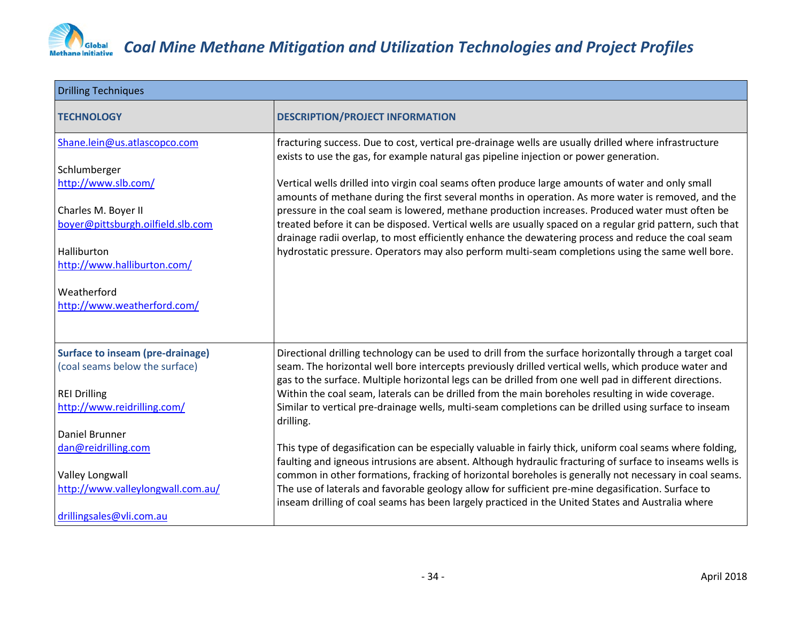

| <b>Drilling Techniques</b>              |                                                                                                                                                                                                                  |
|-----------------------------------------|------------------------------------------------------------------------------------------------------------------------------------------------------------------------------------------------------------------|
| <b>TECHNOLOGY</b>                       | <b>DESCRIPTION/PROJECT INFORMATION</b>                                                                                                                                                                           |
| Shane.lein@us.atlascopco.com            | fracturing success. Due to cost, vertical pre-drainage wells are usually drilled where infrastructure<br>exists to use the gas, for example natural gas pipeline injection or power generation.                  |
| Schlumberger                            |                                                                                                                                                                                                                  |
| http://www.slb.com/                     | Vertical wells drilled into virgin coal seams often produce large amounts of water and only small<br>amounts of methane during the first several months in operation. As more water is removed, and the          |
| Charles M. Boyer II                     | pressure in the coal seam is lowered, methane production increases. Produced water must often be                                                                                                                 |
| boyer@pittsburgh.oilfield.slb.com       | treated before it can be disposed. Vertical wells are usually spaced on a regular grid pattern, such that<br>drainage radii overlap, to most efficiently enhance the dewatering process and reduce the coal seam |
| Halliburton                             | hydrostatic pressure. Operators may also perform multi-seam completions using the same well bore.                                                                                                                |
| http://www.halliburton.com/             |                                                                                                                                                                                                                  |
| Weatherford                             |                                                                                                                                                                                                                  |
| http://www.weatherford.com/             |                                                                                                                                                                                                                  |
|                                         |                                                                                                                                                                                                                  |
| <b>Surface to inseam (pre-drainage)</b> | Directional drilling technology can be used to drill from the surface horizontally through a target coal                                                                                                         |
| (coal seams below the surface)          | seam. The horizontal well bore intercepts previously drilled vertical wells, which produce water and<br>gas to the surface. Multiple horizontal legs can be drilled from one well pad in different directions.   |
| <b>REI Drilling</b>                     | Within the coal seam, laterals can be drilled from the main boreholes resulting in wide coverage.                                                                                                                |
| http://www.reidrilling.com/             | Similar to vertical pre-drainage wells, multi-seam completions can be drilled using surface to inseam<br>drilling.                                                                                               |
| <b>Daniel Brunner</b>                   |                                                                                                                                                                                                                  |
| dan@reidrilling.com                     | This type of degasification can be especially valuable in fairly thick, uniform coal seams where folding,                                                                                                        |
|                                         | faulting and igneous intrusions are absent. Although hydraulic fracturing of surface to inseams wells is                                                                                                         |
| <b>Valley Longwall</b>                  | common in other formations, fracking of horizontal boreholes is generally not necessary in coal seams.                                                                                                           |
| http://www.valleylongwall.com.au/       | The use of laterals and favorable geology allow for sufficient pre-mine degasification. Surface to<br>inseam drilling of coal seams has been largely practiced in the United States and Australia where          |
| drillingsales@vli.com.au                |                                                                                                                                                                                                                  |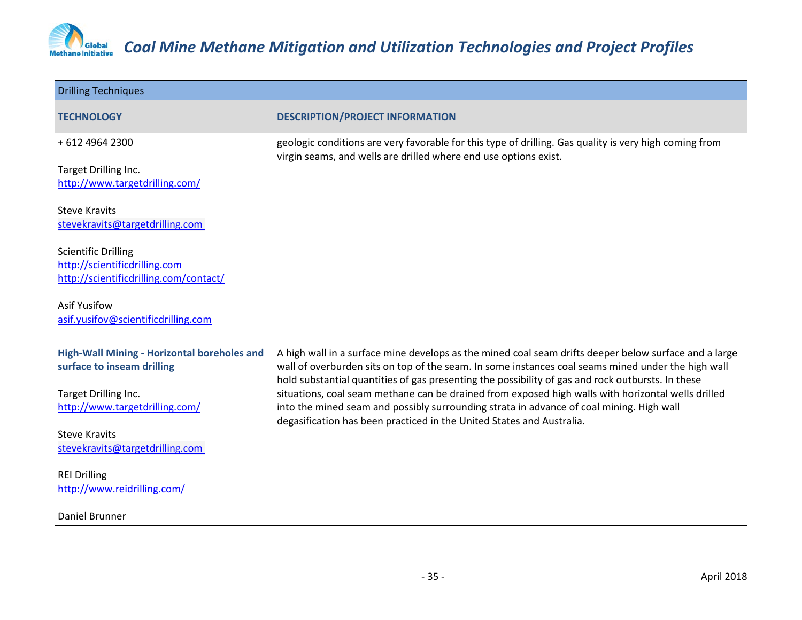

| <b>Drilling Techniques</b>                                                                     |                                                                                                                                                                                                                                                                                                                  |
|------------------------------------------------------------------------------------------------|------------------------------------------------------------------------------------------------------------------------------------------------------------------------------------------------------------------------------------------------------------------------------------------------------------------|
| <b>TECHNOLOGY</b>                                                                              | <b>DESCRIPTION/PROJECT INFORMATION</b>                                                                                                                                                                                                                                                                           |
| +612 4964 2300                                                                                 | geologic conditions are very favorable for this type of drilling. Gas quality is very high coming from                                                                                                                                                                                                           |
| Target Drilling Inc.<br>http://www.targetdrilling.com/                                         | virgin seams, and wells are drilled where end use options exist.                                                                                                                                                                                                                                                 |
| <b>Steve Kravits</b><br>stevekravits@targetdrilling.com                                        |                                                                                                                                                                                                                                                                                                                  |
| Scientific Drilling<br>http://scientificdrilling.com<br>http://scientificdrilling.com/contact/ |                                                                                                                                                                                                                                                                                                                  |
| <b>Asif Yusifow</b><br>asif.yusifov@scientificdrilling.com                                     |                                                                                                                                                                                                                                                                                                                  |
| High-Wall Mining - Horizontal boreholes and<br>surface to inseam drilling                      | A high wall in a surface mine develops as the mined coal seam drifts deeper below surface and a large<br>wall of overburden sits on top of the seam. In some instances coal seams mined under the high wall<br>hold substantial quantities of gas presenting the possibility of gas and rock outbursts. In these |
| Target Drilling Inc.<br>http://www.targetdrilling.com/                                         | situations, coal seam methane can be drained from exposed high walls with horizontal wells drilled<br>into the mined seam and possibly surrounding strata in advance of coal mining. High wall<br>degasification has been practiced in the United States and Australia.                                          |
| <b>Steve Kravits</b><br>stevekravits@targetdrilling.com                                        |                                                                                                                                                                                                                                                                                                                  |
| <b>REI Drilling</b><br>http://www.reidrilling.com/                                             |                                                                                                                                                                                                                                                                                                                  |
| Daniel Brunner                                                                                 |                                                                                                                                                                                                                                                                                                                  |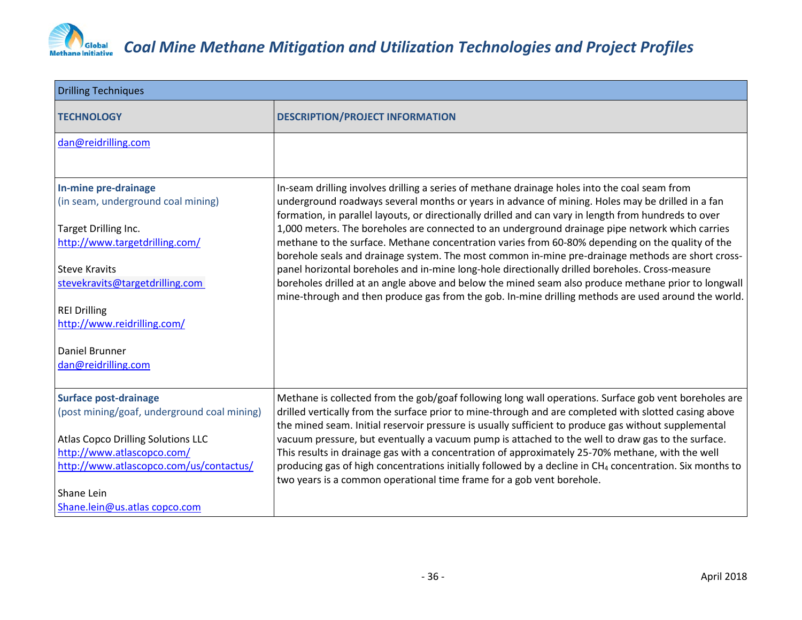

| <b>Drilling Techniques</b>                                                                                                                                                                                                                                                     |                                                                                                                                                                                                                                                                                                                                                                                                                                                                                                                                                                                                                                                                                                                                                                                                                                                                                                                                         |
|--------------------------------------------------------------------------------------------------------------------------------------------------------------------------------------------------------------------------------------------------------------------------------|-----------------------------------------------------------------------------------------------------------------------------------------------------------------------------------------------------------------------------------------------------------------------------------------------------------------------------------------------------------------------------------------------------------------------------------------------------------------------------------------------------------------------------------------------------------------------------------------------------------------------------------------------------------------------------------------------------------------------------------------------------------------------------------------------------------------------------------------------------------------------------------------------------------------------------------------|
| <b>TECHNOLOGY</b>                                                                                                                                                                                                                                                              | <b>DESCRIPTION/PROJECT INFORMATION</b>                                                                                                                                                                                                                                                                                                                                                                                                                                                                                                                                                                                                                                                                                                                                                                                                                                                                                                  |
| dan@reidrilling.com                                                                                                                                                                                                                                                            |                                                                                                                                                                                                                                                                                                                                                                                                                                                                                                                                                                                                                                                                                                                                                                                                                                                                                                                                         |
| In-mine pre-drainage<br>(in seam, underground coal mining)<br>Target Drilling Inc.<br>http://www.targetdrilling.com/<br><b>Steve Kravits</b><br>stevekravits@targetdrilling.com<br><b>REI Drilling</b><br>http://www.reidrilling.com/<br>Daniel Brunner<br>dan@reidrilling.com | In-seam drilling involves drilling a series of methane drainage holes into the coal seam from<br>underground roadways several months or years in advance of mining. Holes may be drilled in a fan<br>formation, in parallel layouts, or directionally drilled and can vary in length from hundreds to over<br>1,000 meters. The boreholes are connected to an underground drainage pipe network which carries<br>methane to the surface. Methane concentration varies from 60-80% depending on the quality of the<br>borehole seals and drainage system. The most common in-mine pre-drainage methods are short cross-<br>panel horizontal boreholes and in-mine long-hole directionally drilled boreholes. Cross-measure<br>boreholes drilled at an angle above and below the mined seam also produce methane prior to longwall<br>mine-through and then produce gas from the gob. In-mine drilling methods are used around the world. |
| <b>Surface post-drainage</b><br>(post mining/goaf, underground coal mining)<br><b>Atlas Copco Drilling Solutions LLC</b><br>http://www.atlascopco.com/<br>http://www.atlascopco.com/us/contactus/<br>Shane Lein<br>Shane.lein@us.atlas copco.com                               | Methane is collected from the gob/goaf following long wall operations. Surface gob vent boreholes are<br>drilled vertically from the surface prior to mine-through and are completed with slotted casing above<br>the mined seam. Initial reservoir pressure is usually sufficient to produce gas without supplemental<br>vacuum pressure, but eventually a vacuum pump is attached to the well to draw gas to the surface.<br>This results in drainage gas with a concentration of approximately 25-70% methane, with the well<br>producing gas of high concentrations initially followed by a decline in CH <sub>4</sub> concentration. Six months to<br>two years is a common operational time frame for a gob vent borehole.                                                                                                                                                                                                        |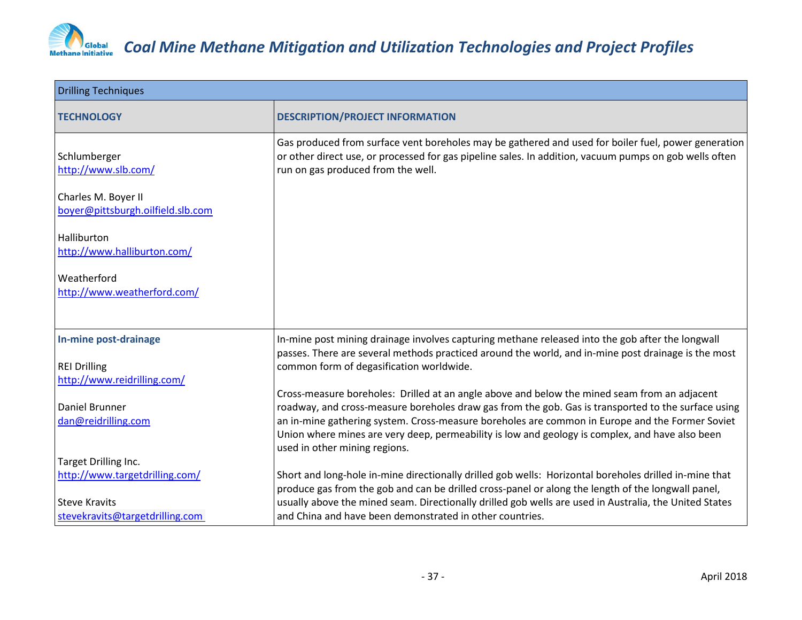

| <b>Drilling Techniques</b>                                                     |                                                                                                                                                                                                                                                                                                                                                                                                                                            |
|--------------------------------------------------------------------------------|--------------------------------------------------------------------------------------------------------------------------------------------------------------------------------------------------------------------------------------------------------------------------------------------------------------------------------------------------------------------------------------------------------------------------------------------|
| <b>TECHNOLOGY</b>                                                              | <b>DESCRIPTION/PROJECT INFORMATION</b>                                                                                                                                                                                                                                                                                                                                                                                                     |
| Schlumberger<br>http://www.slb.com/                                            | Gas produced from surface vent boreholes may be gathered and used for boiler fuel, power generation<br>or other direct use, or processed for gas pipeline sales. In addition, vacuum pumps on gob wells often<br>run on gas produced from the well.                                                                                                                                                                                        |
| Charles M. Boyer II<br>boyer@pittsburgh.oilfield.slb.com                       |                                                                                                                                                                                                                                                                                                                                                                                                                                            |
| Halliburton<br>http://www.halliburton.com/                                     |                                                                                                                                                                                                                                                                                                                                                                                                                                            |
| Weatherford<br>http://www.weatherford.com/                                     |                                                                                                                                                                                                                                                                                                                                                                                                                                            |
| In-mine post-drainage                                                          | In-mine post mining drainage involves capturing methane released into the gob after the longwall<br>passes. There are several methods practiced around the world, and in-mine post drainage is the most                                                                                                                                                                                                                                    |
| <b>REI Drilling</b><br>http://www.reidrilling.com/                             | common form of degasification worldwide.                                                                                                                                                                                                                                                                                                                                                                                                   |
| Daniel Brunner<br>dan@reidrilling.com                                          | Cross-measure boreholes: Drilled at an angle above and below the mined seam from an adjacent<br>roadway, and cross-measure boreholes draw gas from the gob. Gas is transported to the surface using<br>an in-mine gathering system. Cross-measure boreholes are common in Europe and the Former Soviet<br>Union where mines are very deep, permeability is low and geology is complex, and have also been<br>used in other mining regions. |
| Target Drilling Inc.<br>http://www.targetdrilling.com/<br><b>Steve Kravits</b> | Short and long-hole in-mine directionally drilled gob wells: Horizontal boreholes drilled in-mine that<br>produce gas from the gob and can be drilled cross-panel or along the length of the longwall panel,<br>usually above the mined seam. Directionally drilled gob wells are used in Australia, the United States                                                                                                                     |
| stevekravits@targetdrilling.com                                                | and China and have been demonstrated in other countries.                                                                                                                                                                                                                                                                                                                                                                                   |